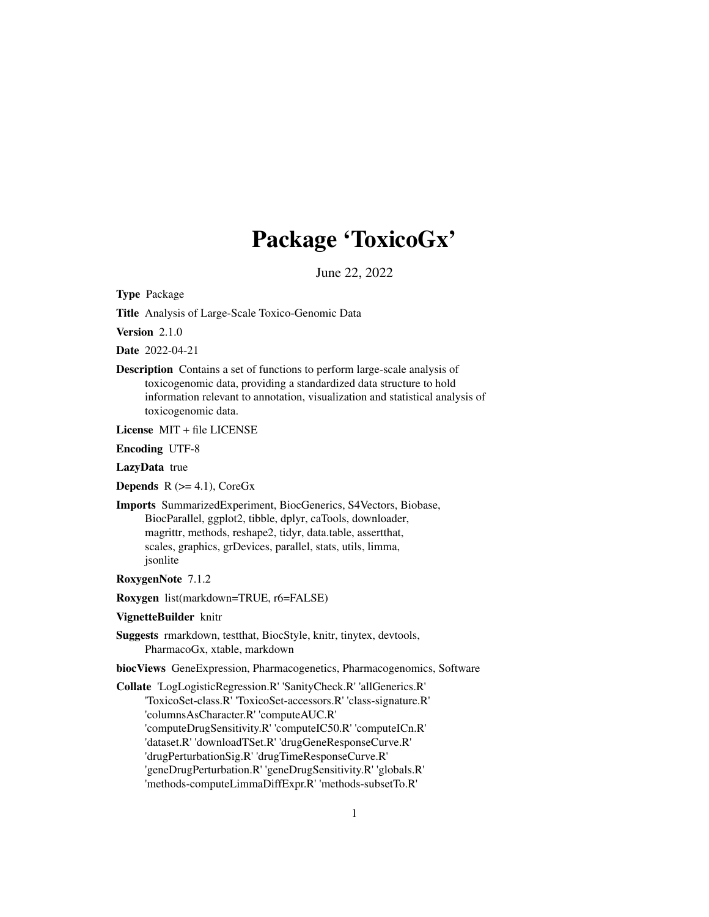# Package 'ToxicoGx'

June 22, 2022

<span id="page-0-0"></span>Type Package

Title Analysis of Large-Scale Toxico-Genomic Data

Version 2.1.0

Date 2022-04-21

Description Contains a set of functions to perform large-scale analysis of toxicogenomic data, providing a standardized data structure to hold information relevant to annotation, visualization and statistical analysis of toxicogenomic data.

License MIT + file LICENSE

Encoding UTF-8

LazyData true

**Depends**  $R$  ( $>= 4.1$ ), CoreGx

Imports SummarizedExperiment, BiocGenerics, S4Vectors, Biobase, BiocParallel, ggplot2, tibble, dplyr, caTools, downloader, magrittr, methods, reshape2, tidyr, data.table, assertthat, scales, graphics, grDevices, parallel, stats, utils, limma, jsonlite

RoxygenNote 7.1.2

Roxygen list(markdown=TRUE, r6=FALSE)

#### VignetteBuilder knitr

Suggests rmarkdown, testthat, BiocStyle, knitr, tinytex, devtools, PharmacoGx, xtable, markdown

biocViews GeneExpression, Pharmacogenetics, Pharmacogenomics, Software

Collate 'LogLogisticRegression.R' 'SanityCheck.R' 'allGenerics.R' 'ToxicoSet-class.R' 'ToxicoSet-accessors.R' 'class-signature.R' 'columnsAsCharacter.R' 'computeAUC.R' 'computeDrugSensitivity.R' 'computeIC50.R' 'computeICn.R' 'dataset.R' 'downloadTSet.R' 'drugGeneResponseCurve.R' 'drugPerturbationSig.R' 'drugTimeResponseCurve.R' 'geneDrugPerturbation.R' 'geneDrugSensitivity.R' 'globals.R' 'methods-computeLimmaDiffExpr.R' 'methods-subsetTo.R'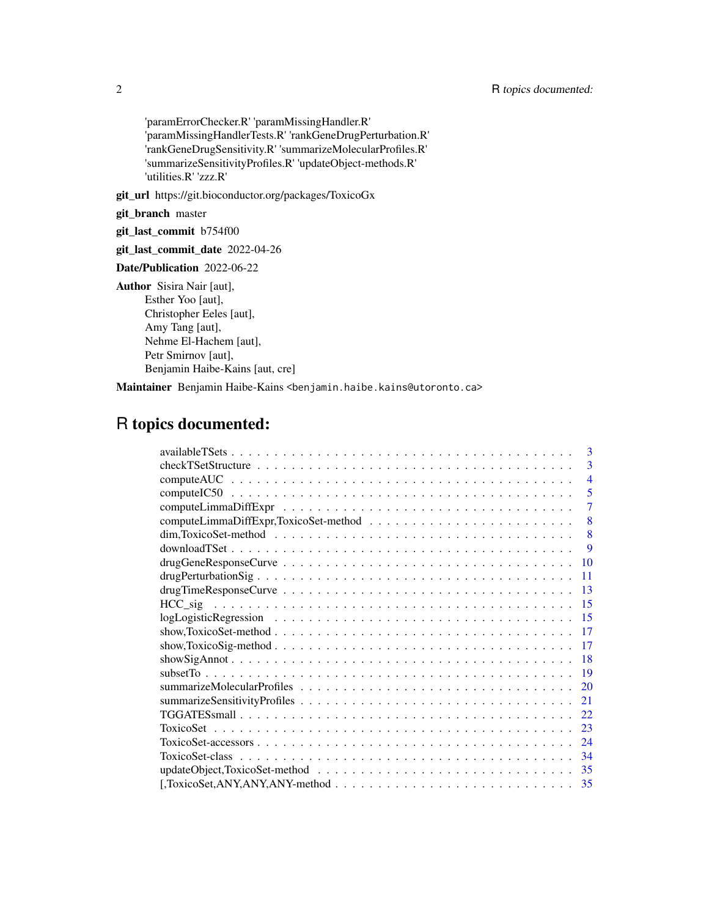'paramErrorChecker.R' 'paramMissingHandler.R' 'paramMissingHandlerTests.R' 'rankGeneDrugPerturbation.R' 'rankGeneDrugSensitivity.R' 'summarizeMolecularProfiles.R' 'summarizeSensitivityProfiles.R' 'updateObject-methods.R' 'utilities.R' 'zzz.R'

git\_url https://git.bioconductor.org/packages/ToxicoGx

git\_branch master

git\_last\_commit b754f00

git\_last\_commit\_date 2022-04-26

Date/Publication 2022-06-22

Author Sisira Nair [aut], Esther Yoo [aut], Christopher Eeles [aut], Amy Tang [aut], Nehme El-Hachem [aut], Petr Smirnov [aut], Benjamin Haibe-Kains [aut, cre]

Maintainer Benjamin Haibe-Kains <benjamin.haibe.kains@utoronto.ca>

# R topics documented:

| $\mathbf{3}$                                                                                                               |
|----------------------------------------------------------------------------------------------------------------------------|
| 3                                                                                                                          |
| $\overline{4}$                                                                                                             |
| 5                                                                                                                          |
| $\overline{7}$                                                                                                             |
| 8                                                                                                                          |
| $dim, ToxicoSet-method \dots \dots \dots \dots \dots \dots \dots \dots \dots \dots \dots \dots \dots \dots \dots$<br>8     |
| 9                                                                                                                          |
| 10                                                                                                                         |
| 11                                                                                                                         |
| 13                                                                                                                         |
| -15                                                                                                                        |
| 15                                                                                                                         |
| -17                                                                                                                        |
| show, ToxicoSig-method $\ldots \ldots \ldots \ldots \ldots \ldots \ldots \ldots \ldots \ldots \ldots \ldots \ldots$<br>-17 |
| -18                                                                                                                        |
| -19                                                                                                                        |
| 20                                                                                                                         |
| 21                                                                                                                         |
| 22                                                                                                                         |
|                                                                                                                            |
|                                                                                                                            |
|                                                                                                                            |
|                                                                                                                            |
|                                                                                                                            |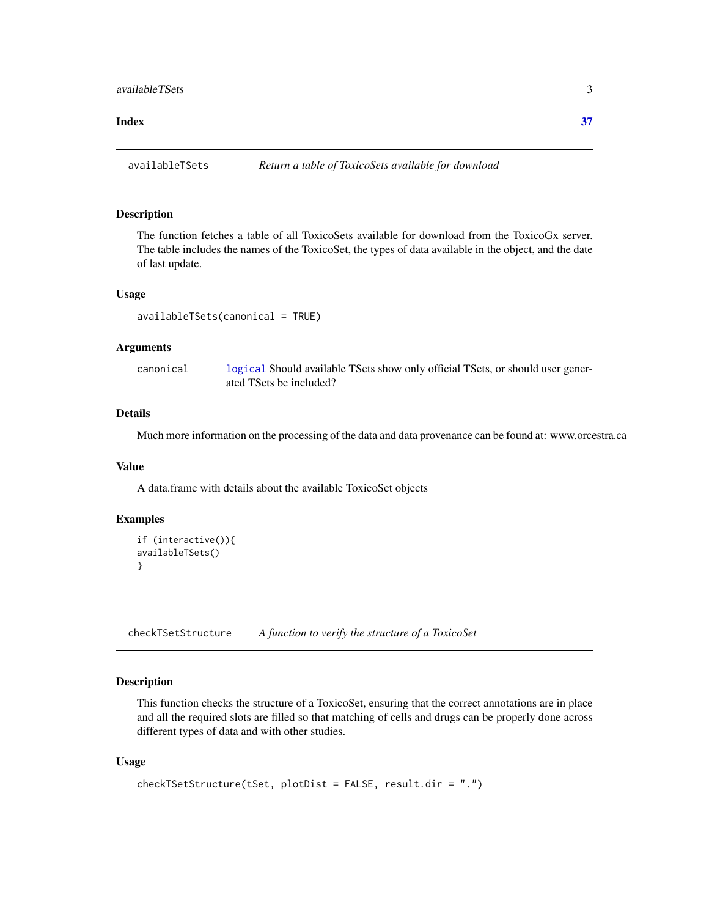#### <span id="page-2-0"></span>**Index** [37](#page-36-0)

availableTSets *Return a table of ToxicoSets available for download*

#### Description

The function fetches a table of all ToxicoSets available for download from the ToxicoGx server. The table includes the names of the ToxicoSet, the types of data available in the object, and the date of last update.

#### Usage

availableTSets(canonical = TRUE)

#### Arguments

canonical [logical](#page-0-0) Should available TSets show only official TSets, or should user generated TSets be included?

## Details

Much more information on the processing of the data and data provenance can be found at: www.orcestra.ca

#### Value

A data.frame with details about the available ToxicoSet objects

#### Examples

```
if (interactive()){
availableTSets()
}
```
checkTSetStructure *A function to verify the structure of a ToxicoSet*

## Description

This function checks the structure of a ToxicoSet, ensuring that the correct annotations are in place and all the required slots are filled so that matching of cells and drugs can be properly done across different types of data and with other studies.

#### Usage

```
checkTSetStructure(tSet, plotDist = FALSE, result.dir = ".")
```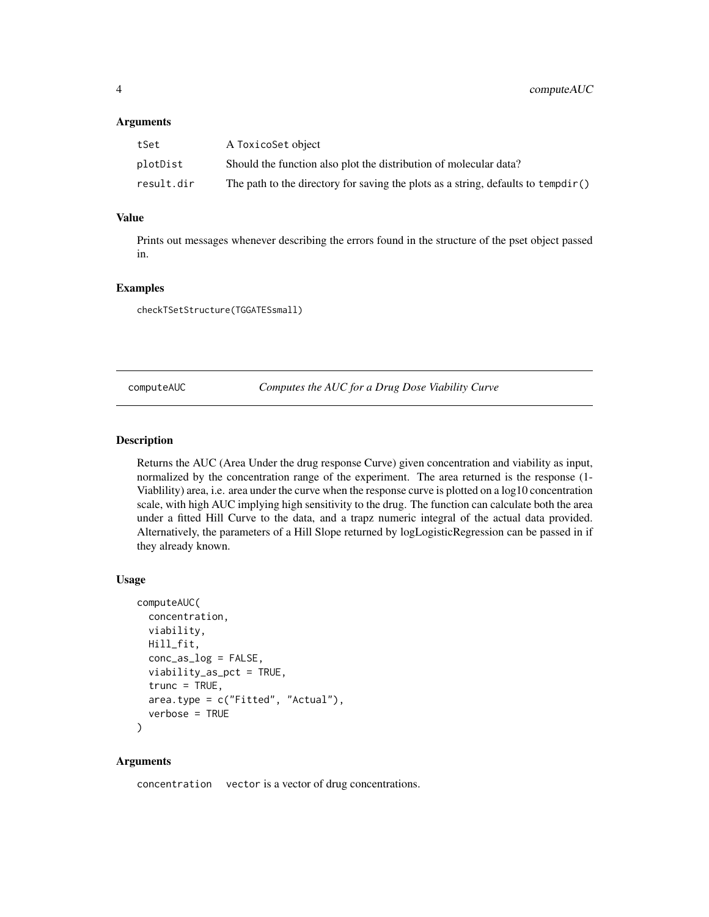#### <span id="page-3-0"></span>**Arguments**

| tSet       | A ToxicoSet object                                                                |
|------------|-----------------------------------------------------------------------------------|
| plotDist   | Should the function also plot the distribution of molecular data?                 |
| result.dir | The path to the directory for saving the plots as a string, defaults to tempdir() |

## Value

Prints out messages whenever describing the errors found in the structure of the pset object passed in.

#### Examples

checkTSetStructure(TGGATESsmall)

computeAUC *Computes the AUC for a Drug Dose Viability Curve*

## **Description**

Returns the AUC (Area Under the drug response Curve) given concentration and viability as input, normalized by the concentration range of the experiment. The area returned is the response (1- Viablility) area, i.e. area under the curve when the response curve is plotted on a log10 concentration scale, with high AUC implying high sensitivity to the drug. The function can calculate both the area under a fitted Hill Curve to the data, and a trapz numeric integral of the actual data provided. Alternatively, the parameters of a Hill Slope returned by logLogisticRegression can be passed in if they already known.

#### Usage

```
computeAUC(
  concentration,
  viability,
 Hill_fit,
  conc_as_log = FALSE,
  viability_as_pct = TRUE,
  true = TRUE,area.type = c("Fitted", "Actual"),
  verbose = TRUE
\lambda
```
#### Arguments

concentration vector is a vector of drug concentrations.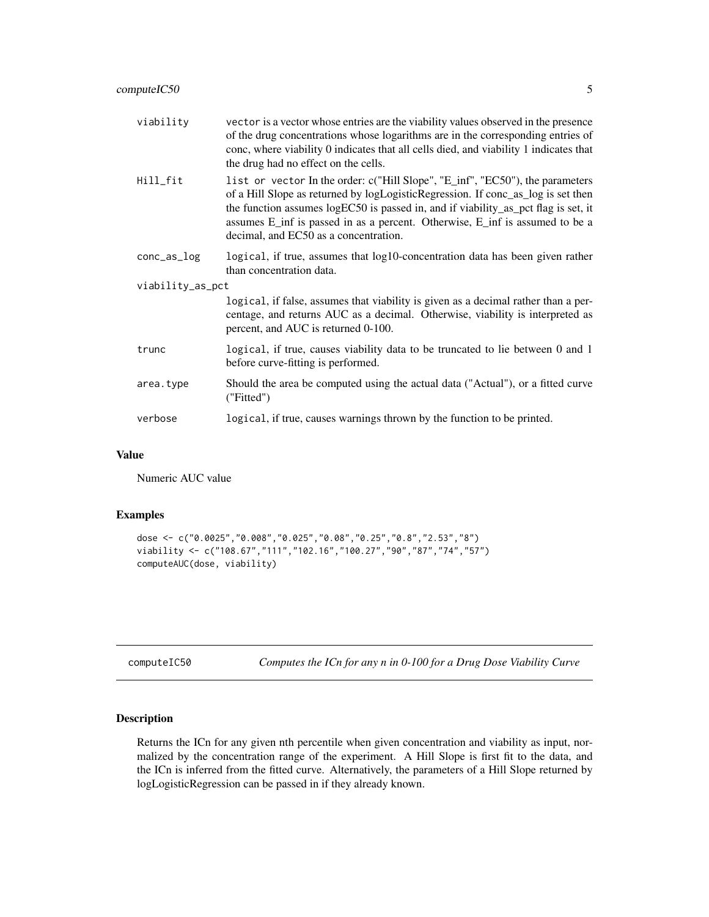<span id="page-4-0"></span>

| viability        | vector is a vector whose entries are the viability values observed in the presence<br>of the drug concentrations whose logarithms are in the corresponding entries of<br>conc, where viability 0 indicates that all cells died, and viability 1 indicates that<br>the drug had no effect on the cells.                                                                           |  |
|------------------|----------------------------------------------------------------------------------------------------------------------------------------------------------------------------------------------------------------------------------------------------------------------------------------------------------------------------------------------------------------------------------|--|
| Hill_fit         | list or vector In the order: c("Hill Slope", "E_inf", "EC50"), the parameters<br>of a Hill Slope as returned by logLogisticRegression. If conc_as_log is set then<br>the function assumes logEC50 is passed in, and if viability_as_pct flag is set, it<br>assumes E_inf is passed in as a percent. Otherwise, E_inf is assumed to be a<br>decimal, and EC50 as a concentration. |  |
| $conc_as_log$    | logical, if true, assumes that log10-concentration data has been given rather<br>than concentration data.                                                                                                                                                                                                                                                                        |  |
| viability_as_pct |                                                                                                                                                                                                                                                                                                                                                                                  |  |
|                  | logical, if false, assumes that viability is given as a decimal rather than a per-<br>centage, and returns AUC as a decimal. Otherwise, viability is interpreted as<br>percent, and AUC is returned 0-100.                                                                                                                                                                       |  |
| trunc            | logical, if true, causes viability data to be truncated to lie between 0 and 1<br>before curve-fitting is performed.                                                                                                                                                                                                                                                             |  |
| area.type        | Should the area be computed using the actual data ("Actual"), or a fitted curve<br>("Fitted")                                                                                                                                                                                                                                                                                    |  |
| verbose          | logical, if true, causes warnings thrown by the function to be printed.                                                                                                                                                                                                                                                                                                          |  |

#### Value

Numeric AUC value

## Examples

```
dose <- c("0.0025","0.008","0.025","0.08","0.25","0.8","2.53","8")
viability <- c("108.67","111","102.16","100.27","90","87","74","57")
computeAUC(dose, viability)
```
computeIC50 *Computes the ICn for any n in 0-100 for a Drug Dose Viability Curve*

## Description

Returns the ICn for any given nth percentile when given concentration and viability as input, normalized by the concentration range of the experiment. A Hill Slope is first fit to the data, and the ICn is inferred from the fitted curve. Alternatively, the parameters of a Hill Slope returned by logLogisticRegression can be passed in if they already known.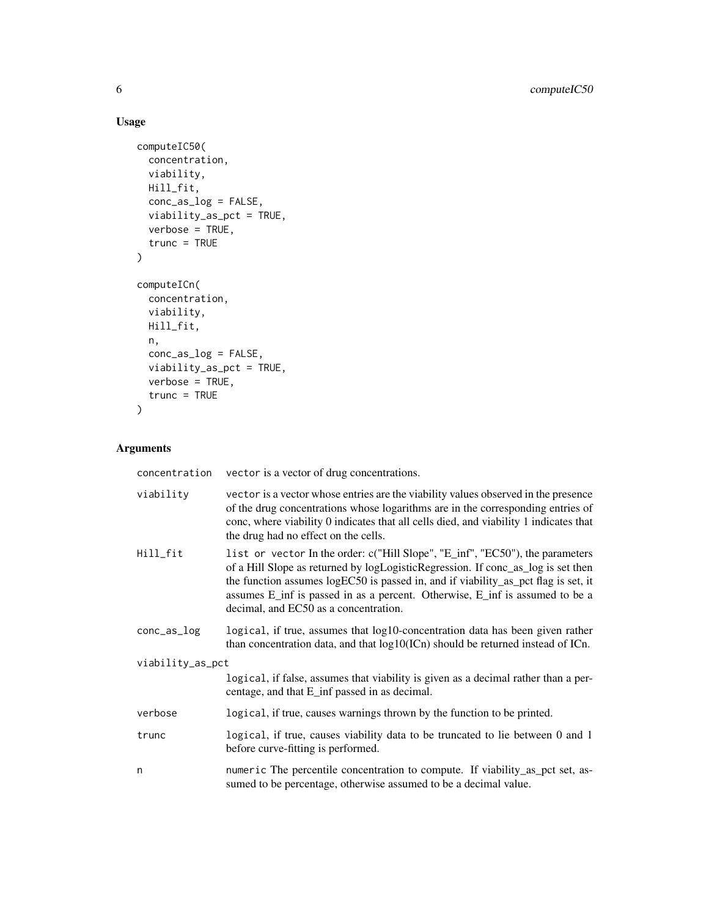## Usage

```
computeIC50(
  concentration,
  viability,
  Hill_fit,
  conc_as_log = FALSE,
  viability_as_pct = TRUE,
  verbose = TRUE,
  trunc = TRUE
\mathcal{L}computeICn(
  concentration,
  viability,
  Hill_fit,
  n,
  conc_as_log = FALSE,viability_as_pct = TRUE,
  verbose = TRUE,
  trunc = TRUE
)
```
## Arguments

| concentration    | vector is a vector of drug concentrations.                                                                                                                                                                                                                                                                                                                                       |  |
|------------------|----------------------------------------------------------------------------------------------------------------------------------------------------------------------------------------------------------------------------------------------------------------------------------------------------------------------------------------------------------------------------------|--|
| viability        | vector is a vector whose entries are the viability values observed in the presence<br>of the drug concentrations whose logarithms are in the corresponding entries of<br>conc, where viability 0 indicates that all cells died, and viability 1 indicates that<br>the drug had no effect on the cells.                                                                           |  |
| Hill_fit         | list or vector In the order: c("Hill Slope", "E_inf", "EC50"), the parameters<br>of a Hill Slope as returned by logLogisticRegression. If conc_as_log is set then<br>the function assumes logEC50 is passed in, and if viability_as_pct flag is set, it<br>assumes E_inf is passed in as a percent. Otherwise, E_inf is assumed to be a<br>decimal, and EC50 as a concentration. |  |
| $conc_as_log$    | logical, if true, assumes that log10-concentration data has been given rather<br>than concentration data, and that log10(ICn) should be returned instead of ICn.                                                                                                                                                                                                                 |  |
| viability_as_pct |                                                                                                                                                                                                                                                                                                                                                                                  |  |
|                  | logical, if false, assumes that viability is given as a decimal rather than a per-<br>centage, and that E_inf passed in as decimal.                                                                                                                                                                                                                                              |  |
| verbose          | logical, if true, causes warnings thrown by the function to be printed.                                                                                                                                                                                                                                                                                                          |  |
| trunc            | logical, if true, causes viability data to be truncated to lie between 0 and 1<br>before curve-fitting is performed.                                                                                                                                                                                                                                                             |  |
| n                | numeric The percentile concentration to compute. If viability_as_pct set, as-<br>sumed to be percentage, otherwise assumed to be a decimal value.                                                                                                                                                                                                                                |  |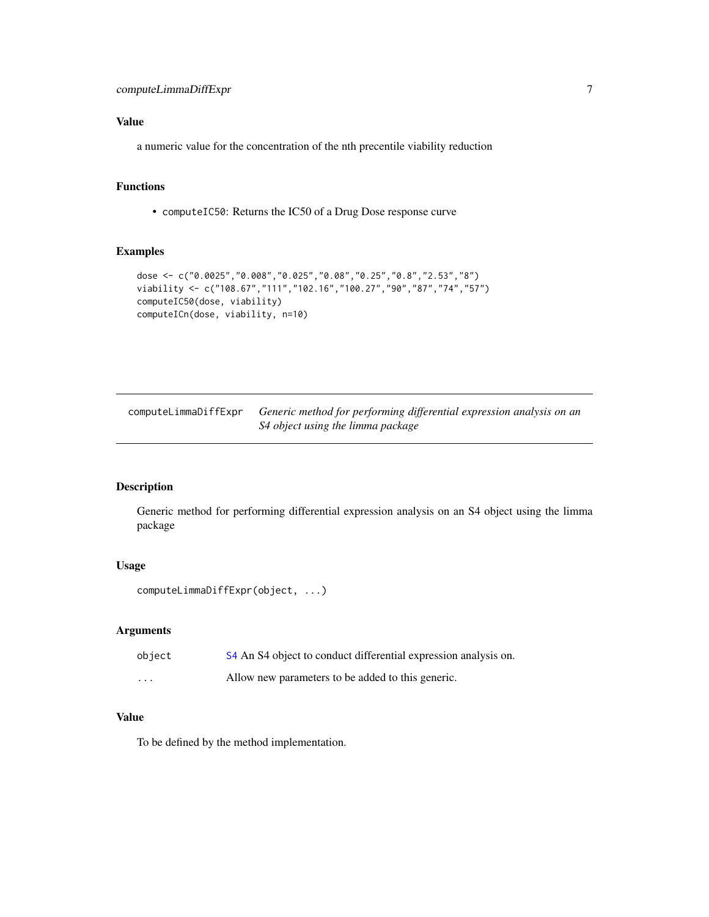## <span id="page-6-0"></span>Value

a numeric value for the concentration of the nth precentile viability reduction

## Functions

• computeIC50: Returns the IC50 of a Drug Dose response curve

## Examples

```
dose <- c("0.0025","0.008","0.025","0.08","0.25","0.8","2.53","8")
viability <- c("108.67","111","102.16","100.27","90","87","74","57")
computeIC50(dose, viability)
computeICn(dose, viability, n=10)
```
computeLimmaDiffExpr *Generic method for performing differential expression analysis on an S4 object using the limma package*

## Description

Generic method for performing differential expression analysis on an S4 object using the limma package

## Usage

```
computeLimmaDiffExpr(object, ...)
```
## Arguments

| object   | S4 An S4 object to conduct differential expression analysis on. |
|----------|-----------------------------------------------------------------|
| $\cdots$ | Allow new parameters to be added to this generic.               |

#### Value

To be defined by the method implementation.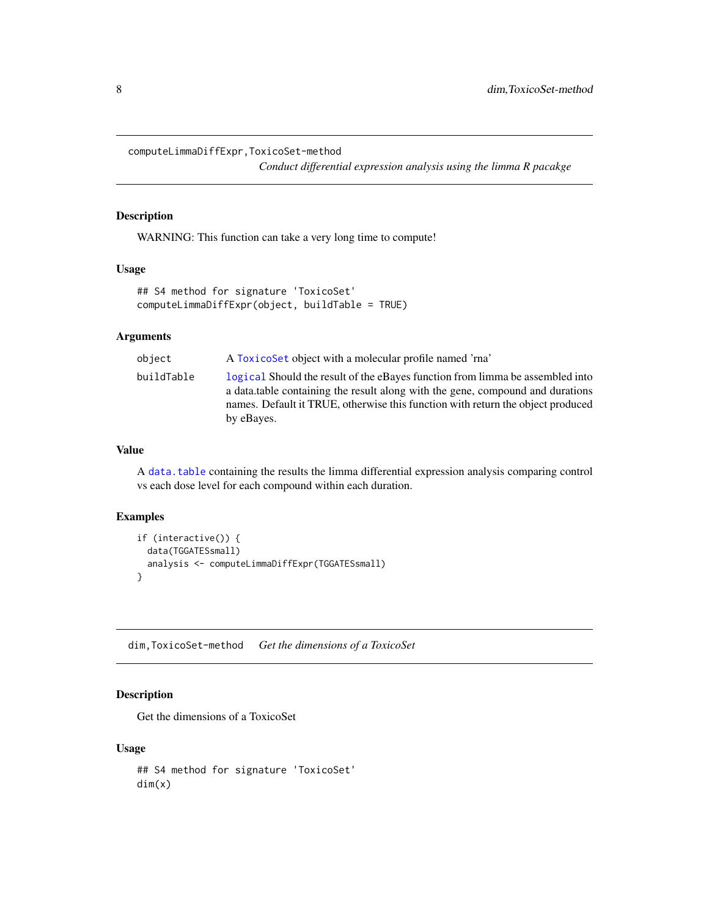<span id="page-7-0"></span>computeLimmaDiffExpr,ToxicoSet-method

*Conduct differential expression analysis using the limma R pacakge*

## Description

WARNING: This function can take a very long time to compute!

#### Usage

```
## S4 method for signature 'ToxicoSet'
computeLimmaDiffExpr(object, buildTable = TRUE)
```
## Arguments

| object     | A Toxicoset object with a molecular profile named 'rna'                                                                                                                                                                                                          |
|------------|------------------------------------------------------------------------------------------------------------------------------------------------------------------------------------------------------------------------------------------------------------------|
| buildTable | logical Should the result of the eBayes function from limma be assembled into<br>a data table containing the result along with the gene, compound and durations<br>names. Default it TRUE, otherwise this function with return the object produced<br>by eBayes. |

### Value

A [data.table](#page-0-0) containing the results the limma differential expression analysis comparing control vs each dose level for each compound within each duration.

## Examples

```
if (interactive()) {
  data(TGGATESsmall)
  analysis <- computeLimmaDiffExpr(TGGATESsmall)
}
```
dim,ToxicoSet-method *Get the dimensions of a ToxicoSet*

## Description

Get the dimensions of a ToxicoSet

#### Usage

## S4 method for signature 'ToxicoSet' dim(x)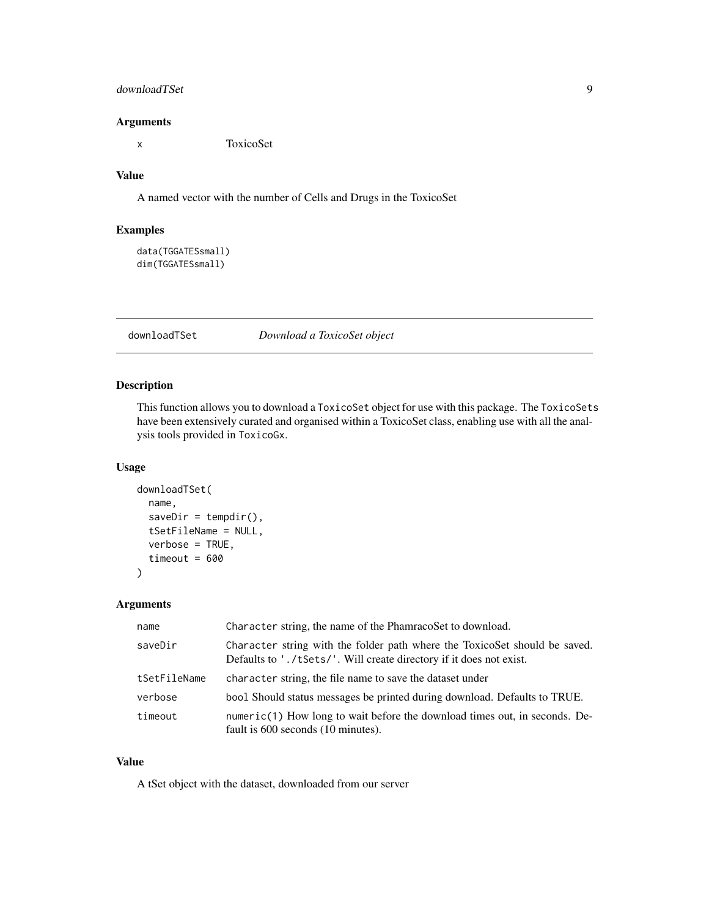## <span id="page-8-0"></span>downloadTSet 9

## Arguments

x ToxicoSet

## Value

A named vector with the number of Cells and Drugs in the ToxicoSet

#### Examples

```
data(TGGATESsmall)
dim(TGGATESsmall)
```
#### downloadTSet *Download a ToxicoSet object*

### Description

This function allows you to download a ToxicoSet object for use with this package. The ToxicoSets have been extensively curated and organised within a ToxicoSet class, enabling use with all the analysis tools provided in ToxicoGx.

#### Usage

```
downloadTSet(
  name,
  saveDir = tempdir(),
  tSetFileName = NULL,
  verbose = TRUE,
  timeout = 600\mathcal{L}
```
#### Arguments

| name         | Character string, the name of the PhamracoSet to download.                                                                                        |
|--------------|---------------------------------------------------------------------------------------------------------------------------------------------------|
| saveDir      | Character string with the folder path where the ToxicoSet should be saved.<br>Defaults to './tSets/'. Will create directory if it does not exist. |
| tSetFileName | character string, the file name to save the dataset under                                                                                         |
| verbose      | bool Should status messages be printed during download. Defaults to TRUE.                                                                         |
| timeout      | $numeric(1)$ How long to wait before the download times out, in seconds. De-<br>fault is 600 seconds (10 minutes).                                |

## Value

A tSet object with the dataset, downloaded from our server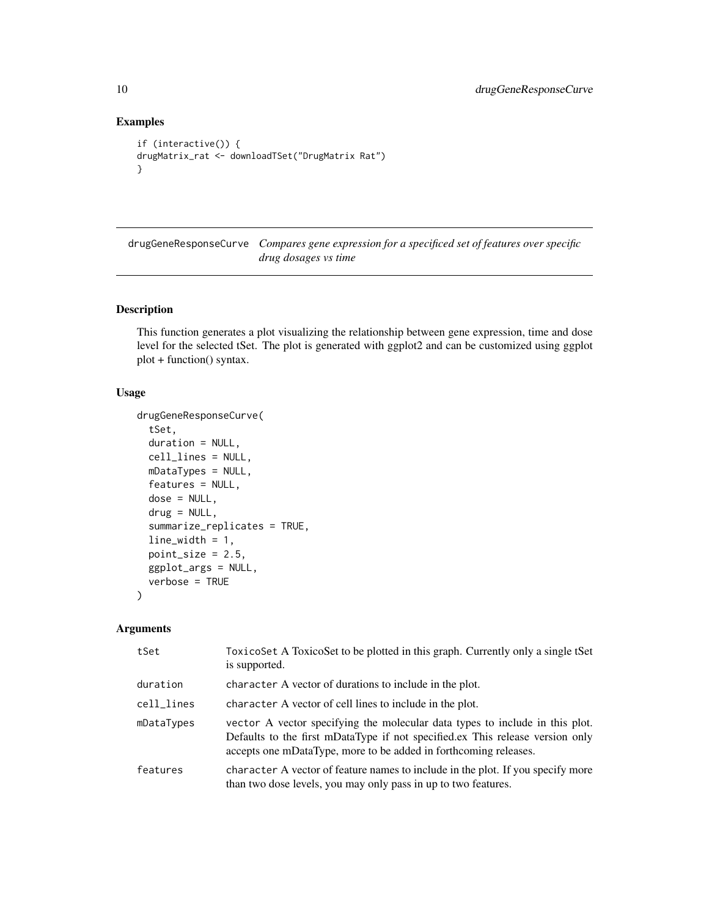## Examples

```
if (interactive()) {
drugMatrix_rat <- downloadTSet("DrugMatrix Rat")
}
```
drugGeneResponseCurve *Compares gene expression for a specificed set of features over specific drug dosages vs time*

## Description

This function generates a plot visualizing the relationship between gene expression, time and dose level for the selected tSet. The plot is generated with ggplot2 and can be customized using ggplot plot + function() syntax.

## Usage

```
drugGeneResponseCurve(
  tSet,
  duration = NULL,
 cell_lines = NULL,
 mDataTypes = NULL,
  features = NULL,
 dose = NULL,
  drug = NULL,summarize_replicates = TRUE,
  line\_width = 1,point_size = 2.5,
 ggplot_args = NULL,
 verbose = TRUE
)
```
#### Arguments

| tSet       | ToxicoSet A ToxicoSet to be plotted in this graph. Currently only a single tSet<br>is supported.                                                                                                                                  |
|------------|-----------------------------------------------------------------------------------------------------------------------------------------------------------------------------------------------------------------------------------|
| duration   | character A vector of durations to include in the plot.                                                                                                                                                                           |
| cell_lines | character A vector of cell lines to include in the plot.                                                                                                                                                                          |
| mDataTypes | vector A vector specifying the molecular data types to include in this plot.<br>Defaults to the first mDataType if not specified.ex This release version only<br>accepts one mDataType, more to be added in forthcoming releases. |
| features   | character A vector of feature names to include in the plot. If you specify more<br>than two dose levels, you may only pass in up to two features.                                                                                 |

<span id="page-9-0"></span>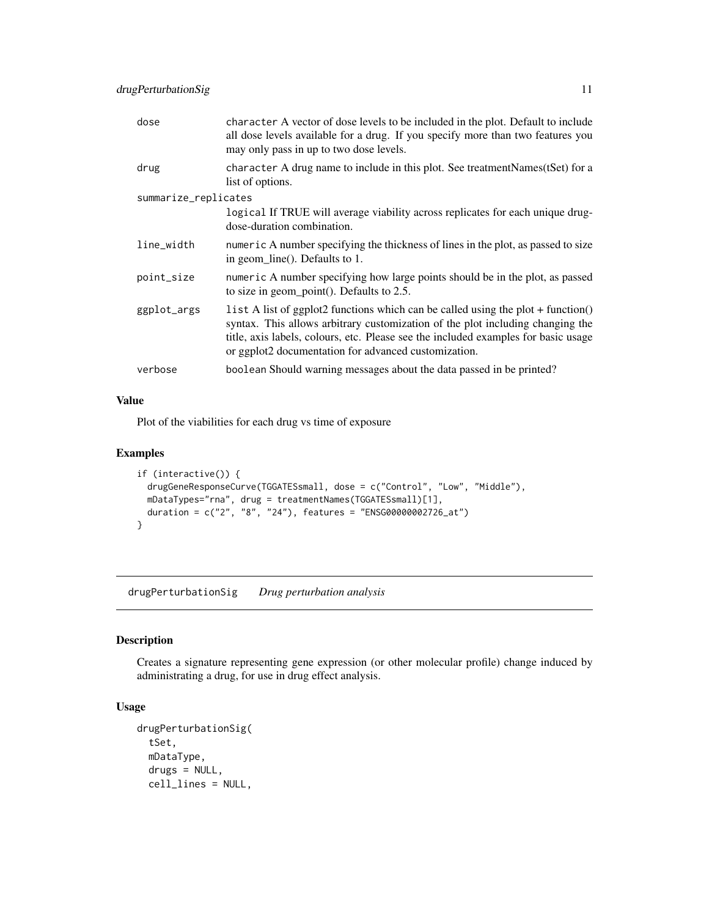<span id="page-10-0"></span>

| dose                 | character A vector of dose levels to be included in the plot. Default to include<br>all dose levels available for a drug. If you specify more than two features you<br>may only pass in up to two dose levels.                                                                                                   |
|----------------------|------------------------------------------------------------------------------------------------------------------------------------------------------------------------------------------------------------------------------------------------------------------------------------------------------------------|
| drug                 | character A drug name to include in this plot. See treatmentNames(tSet) for a<br>list of options.                                                                                                                                                                                                                |
| summarize_replicates |                                                                                                                                                                                                                                                                                                                  |
|                      | logical If TRUE will average viability across replicates for each unique drug-<br>dose-duration combination.                                                                                                                                                                                                     |
| line_width           | numeric A number specifying the thickness of lines in the plot, as passed to size<br>in geom_line(). Defaults to 1.                                                                                                                                                                                              |
| point_size           | numeric A number specifying how large points should be in the plot, as passed<br>to size in geom_point(). Defaults to $2.5$ .                                                                                                                                                                                    |
| ggplot_args          | list A list of ggplot2 functions which can be called using the plot + function()<br>syntax. This allows arbitrary customization of the plot including changing the<br>title, axis labels, colours, etc. Please see the included examples for basic usage<br>or ggplot2 documentation for advanced customization. |
| verbose              | boolean Should warning messages about the data passed in be printed?                                                                                                                                                                                                                                             |

## Value

Plot of the viabilities for each drug vs time of exposure

## Examples

```
if (interactive()) {
 drugGeneResponseCurve(TGGATESsmall, dose = c("Control", "Low", "Middle"),
 mDataTypes="rna", drug = treatmentNames(TGGATESsmall)[1],
 duration = c("2", "8", "24"), features = "ENSG00000002726_at")
}
```
drugPerturbationSig *Drug perturbation analysis*

## Description

Creates a signature representing gene expression (or other molecular profile) change induced by administrating a drug, for use in drug effect analysis.

## Usage

```
drugPerturbationSig(
  tSet,
 mDataType,
 drugs = NULL,
  cell_lines = NULL,
```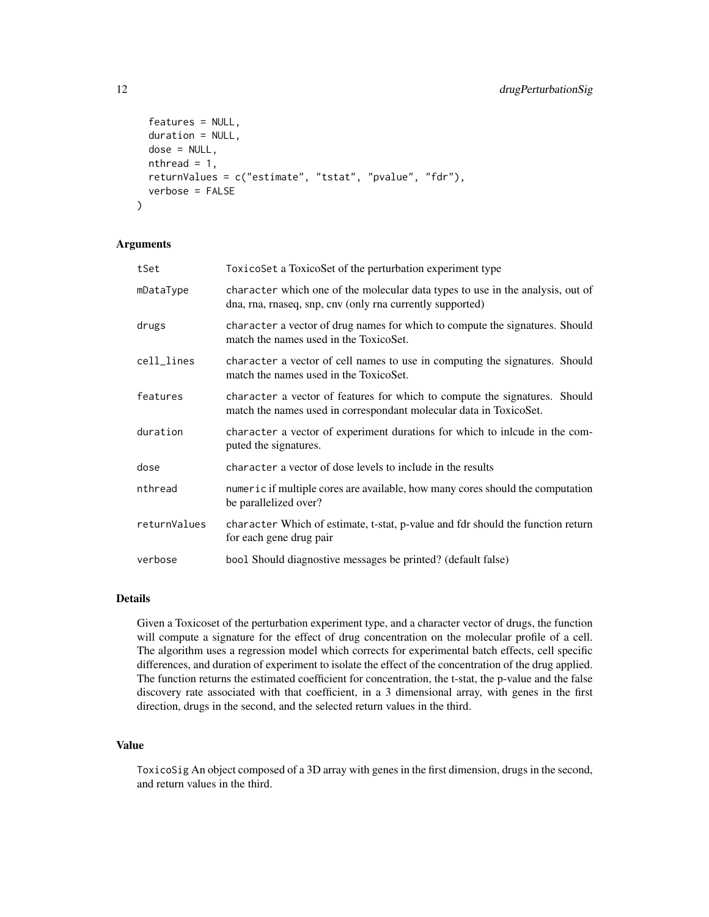```
features = NULL,
  duration = NULL,
  dose = NULL,
  nthread = 1,
  returnValues = c("estimate", "tstat", "pvalue", "fdr"),
  verbose = FALSE
)
```
#### **Arguments**

| tSet         | ToxicoSet a ToxicoSet of the perturbation experiment type                                                                                        |
|--------------|--------------------------------------------------------------------------------------------------------------------------------------------------|
| mDataType    | character which one of the molecular data types to use in the analysis, out of<br>dna, rna, rnaseq, snp, cnv (only rna currently supported)      |
| drugs        | character a vector of drug names for which to compute the signatures. Should<br>match the names used in the ToxicoSet.                           |
| cell_lines   | character a vector of cell names to use in computing the signatures. Should<br>match the names used in the ToxicoSet.                            |
| features     | character a vector of features for which to compute the signatures. Should<br>match the names used in correspondant molecular data in ToxicoSet. |
| duration     | character a vector of experiment durations for which to inlcude in the com-<br>puted the signatures.                                             |
| dose         | character a vector of dose levels to include in the results                                                                                      |
| nthread      | numeric if multiple cores are available, how many cores should the computation<br>be parallelized over?                                          |
| returnValues | character Which of estimate, t-stat, p-value and fdr should the function return<br>for each gene drug pair                                       |
| verbose      | bool Should diagnostive messages be printed? (default false)                                                                                     |

## Details

Given a Toxicoset of the perturbation experiment type, and a character vector of drugs, the function will compute a signature for the effect of drug concentration on the molecular profile of a cell. The algorithm uses a regression model which corrects for experimental batch effects, cell specific differences, and duration of experiment to isolate the effect of the concentration of the drug applied. The function returns the estimated coefficient for concentration, the t-stat, the p-value and the false discovery rate associated with that coefficient, in a 3 dimensional array, with genes in the first direction, drugs in the second, and the selected return values in the third.

#### Value

ToxicoSig An object composed of a 3D array with genes in the first dimension, drugs in the second, and return values in the third.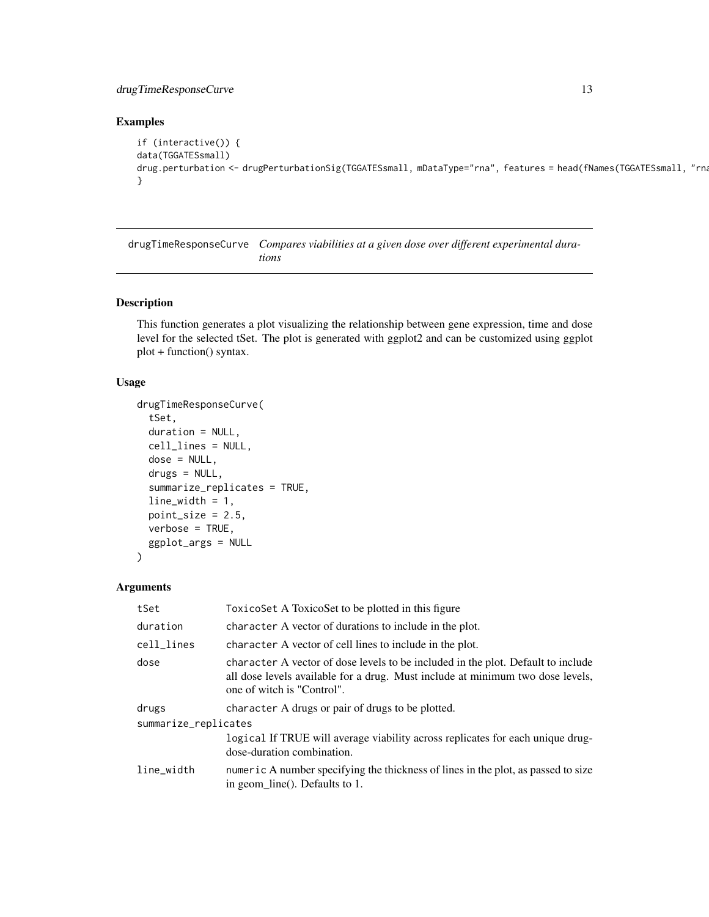## <span id="page-12-0"></span>drugTimeResponseCurve 13

## Examples

```
if (interactive()) {
data(TGGATESsmall)
drug.perturbation <- drugPerturbationSig(TGGATESsmall, mDataType="rna", features = head(fNames(TGGATESsmall, "rna
}
```
drugTimeResponseCurve *Compares viabilities at a given dose over different experimental durations*

#### Description

This function generates a plot visualizing the relationship between gene expression, time and dose level for the selected tSet. The plot is generated with ggplot2 and can be customized using ggplot plot + function() syntax.

## Usage

```
drugTimeResponseCurve(
  tSet,
  duration = NULL,
  cell_lines = NULL,
  dose = NULL,
  drugs = NULL,
  summarize_replicates = TRUE,
  line\_width = 1,point_size = 2.5,
  verbose = TRUE,
  ggplot_args = NULL
\lambda
```
#### Arguments

| tSet                 | Toxicoset A Toxicos et to be plotted in this figure                                                                                                                                              |  |
|----------------------|--------------------------------------------------------------------------------------------------------------------------------------------------------------------------------------------------|--|
| duration             | character A vector of durations to include in the plot.                                                                                                                                          |  |
| cell_lines           | character A vector of cell lines to include in the plot.                                                                                                                                         |  |
| dose                 | character A vector of dose levels to be included in the plot. Default to include<br>all dose levels available for a drug. Must include at minimum two dose levels,<br>one of witch is "Control". |  |
| drugs                | character A drugs or pair of drugs to be plotted.                                                                                                                                                |  |
| summarize_replicates |                                                                                                                                                                                                  |  |
|                      | logical If TRUE will average viability across replicates for each unique drug-<br>dose-duration combination.                                                                                     |  |
| line_width           | numeric A number specifying the thickness of lines in the plot, as passed to size<br>in geom_line(). Defaults to 1.                                                                              |  |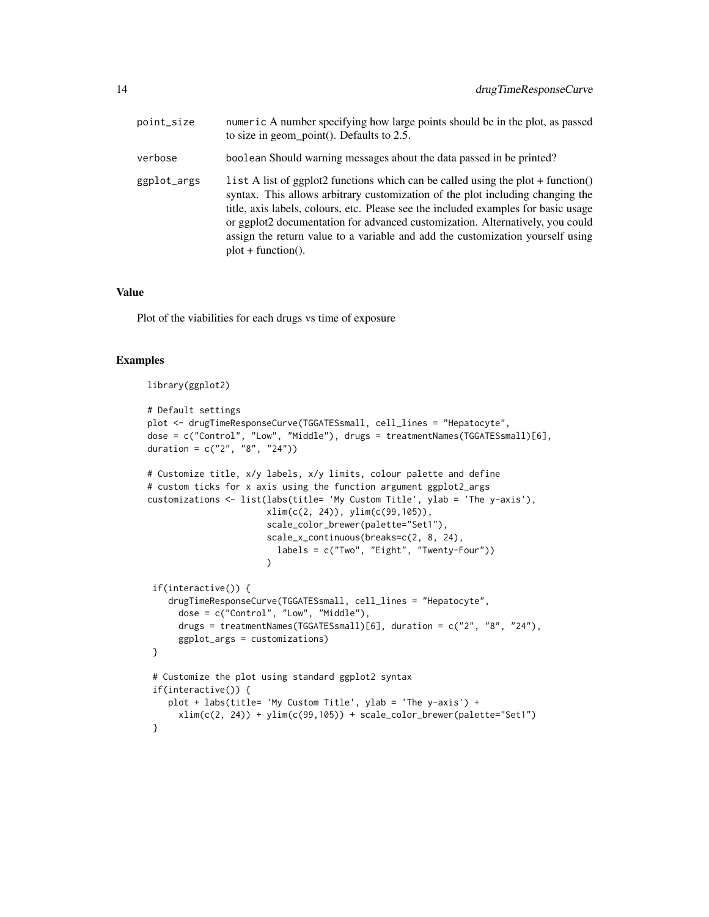| point_size  | numeric A number specifying how large points should be in the plot, as passed<br>to size in geom_point(). Defaults to 2.5.                                                                                                                                                                                                                                                                                                                            |
|-------------|-------------------------------------------------------------------------------------------------------------------------------------------------------------------------------------------------------------------------------------------------------------------------------------------------------------------------------------------------------------------------------------------------------------------------------------------------------|
| verbose     | boolean Should warning messages about the data passed in be printed?                                                                                                                                                                                                                                                                                                                                                                                  |
| ggplot_args | l ist A list of ggplot2 functions which can be called using the plot + function()<br>syntax. This allows arbitrary customization of the plot including changing the<br>title, axis labels, colours, etc. Please see the included examples for basic usage<br>or ggplot2 documentation for advanced customization. Alternatively, you could<br>assign the return value to a variable and add the customization yourself using<br>$plot + function()$ . |

#### Value

Plot of the viabilities for each drugs vs time of exposure

#### Examples

```
library(ggplot2)
```

```
# Default settings
plot <- drugTimeResponseCurve(TGGATESsmall, cell_lines = "Hepatocyte",
dose = c("Control", "Low", "Middle"), drugs = treatmentNames(TGGATESsmall)[6],
duration = c("2", "8", "24")# Customize title, x/y labels, x/y limits, colour palette and define
# custom ticks for x axis using the function argument ggplot2_args
customizations <- list(labs(title= 'My Custom Title', ylab = 'The y-axis'),
                      xlim(c(2, 24)), ylim(c(99,105)),
                      scale_color_brewer(palette="Set1"),
                      scale_x_continuous(breaks=c(2, 8, 24),
                        labels = c("Two", "Eight", "Twenty-Four"))
                      \lambdaif(interactive()) {
    drugTimeResponseCurve(TGGATESsmall, cell_lines = "Hepatocyte",
      dose = c("Control", "Low", "Middle"),
      drugs = treatmentNames(TGGATESsmall)[6], duration = c("2", "8", "24"),
      ggplot_args = customizations)
 }
 # Customize the plot using standard ggplot2 syntax
 if(interactive()) {
    plot + labs(title= 'My Custom Title', ylab = 'The y-axis') +
      xlim(c(2, 24)) + ylim(c(99, 105)) + scale_color_brewer(palette="Set1")}
```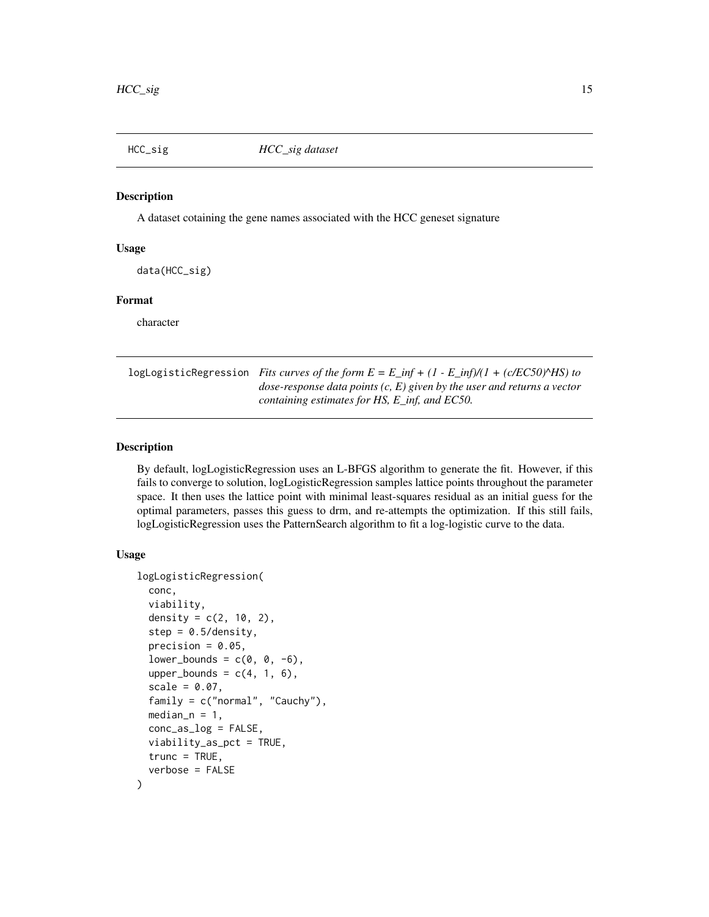<span id="page-14-0"></span>

## Description

A dataset cotaining the gene names associated with the HCC geneset signature

#### Usage

data(HCC\_sig)

## Format

character

logLogisticRegression *Fits curves of the form*  $E = E$  *inf + (1 - E\_inf)/(1 + (c/EC50)* $\triangle$ HS) to *dose-response data points (c, E) given by the user and returns a vector containing estimates for HS, E\_inf, and EC50.*

## **Description**

By default, logLogisticRegression uses an L-BFGS algorithm to generate the fit. However, if this fails to converge to solution, logLogisticRegression samples lattice points throughout the parameter space. It then uses the lattice point with minimal least-squares residual as an initial guess for the optimal parameters, passes this guess to drm, and re-attempts the optimization. If this still fails, logLogisticRegression uses the PatternSearch algorithm to fit a log-logistic curve to the data.

#### Usage

```
logLogisticRegression(
  conc,
  viability,
  density = c(2, 10, 2),
  step = 0.5/density,
  precision = 0.05,
  lower\_bounds = c(0, 0, -6),
  upper\_bounds = c(4, 1, 6),scale = 0.07,
  family = c("normal", "Cauchy"),
  median_n = 1,
  conc_as_log = FALSE,
  viability_as_pct = TRUE,
  true = TRUE,verbose = FALSE
)
```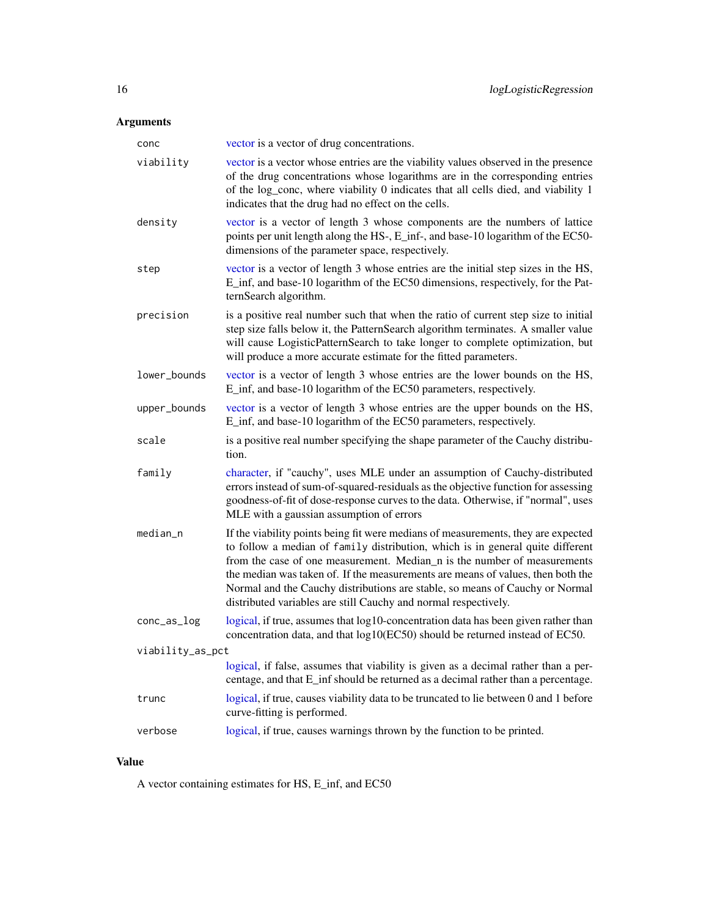## <span id="page-15-0"></span>Arguments

| conc             | vector is a vector of drug concentrations.                                                                                                                                                                                                                                                                                                                                                                                                                                            |
|------------------|---------------------------------------------------------------------------------------------------------------------------------------------------------------------------------------------------------------------------------------------------------------------------------------------------------------------------------------------------------------------------------------------------------------------------------------------------------------------------------------|
| viability        | vector is a vector whose entries are the viability values observed in the presence<br>of the drug concentrations whose logarithms are in the corresponding entries<br>of the log_conc, where viability 0 indicates that all cells died, and viability 1<br>indicates that the drug had no effect on the cells.                                                                                                                                                                        |
| density          | vector is a vector of length 3 whose components are the numbers of lattice<br>points per unit length along the HS-, E_inf-, and base-10 logarithm of the EC50-<br>dimensions of the parameter space, respectively.                                                                                                                                                                                                                                                                    |
| step             | vector is a vector of length 3 whose entries are the initial step sizes in the HS,<br>E_inf, and base-10 logarithm of the EC50 dimensions, respectively, for the Pat-<br>ternSearch algorithm.                                                                                                                                                                                                                                                                                        |
| precision        | is a positive real number such that when the ratio of current step size to initial<br>step size falls below it, the PatternSearch algorithm terminates. A smaller value<br>will cause LogisticPatternSearch to take longer to complete optimization, but<br>will produce a more accurate estimate for the fitted parameters.                                                                                                                                                          |
| lower_bounds     | vector is a vector of length 3 whose entries are the lower bounds on the HS,<br>E_inf, and base-10 logarithm of the EC50 parameters, respectively.                                                                                                                                                                                                                                                                                                                                    |
| upper_bounds     | vector is a vector of length 3 whose entries are the upper bounds on the HS,<br>E_inf, and base-10 logarithm of the EC50 parameters, respectively.                                                                                                                                                                                                                                                                                                                                    |
| scale            | is a positive real number specifying the shape parameter of the Cauchy distribu-<br>tion.                                                                                                                                                                                                                                                                                                                                                                                             |
| family           | character, if "cauchy", uses MLE under an assumption of Cauchy-distributed<br>errors instead of sum-of-squared-residuals as the objective function for assessing<br>goodness-of-fit of dose-response curves to the data. Otherwise, if "normal", uses<br>MLE with a gaussian assumption of errors                                                                                                                                                                                     |
| median_n         | If the viability points being fit were medians of measurements, they are expected<br>to follow a median of family distribution, which is in general quite different<br>from the case of one measurement. Median n is the number of measurements<br>the median was taken of. If the measurements are means of values, then both the<br>Normal and the Cauchy distributions are stable, so means of Cauchy or Normal<br>distributed variables are still Cauchy and normal respectively. |
| conc_as_log      | logical, if true, assumes that log10-concentration data has been given rather than<br>concentration data, and that log10(EC50) should be returned instead of EC50.                                                                                                                                                                                                                                                                                                                    |
| viability_as_pct |                                                                                                                                                                                                                                                                                                                                                                                                                                                                                       |
|                  | logical, if false, assumes that viability is given as a decimal rather than a per-<br>centage, and that E_inf should be returned as a decimal rather than a percentage.                                                                                                                                                                                                                                                                                                               |
| trunc            | logical, if true, causes viability data to be truncated to lie between 0 and 1 before<br>curve-fitting is performed.                                                                                                                                                                                                                                                                                                                                                                  |
| verbose          | logical, if true, causes warnings thrown by the function to be printed.                                                                                                                                                                                                                                                                                                                                                                                                               |

## Value

A vector containing estimates for HS, E\_inf, and EC50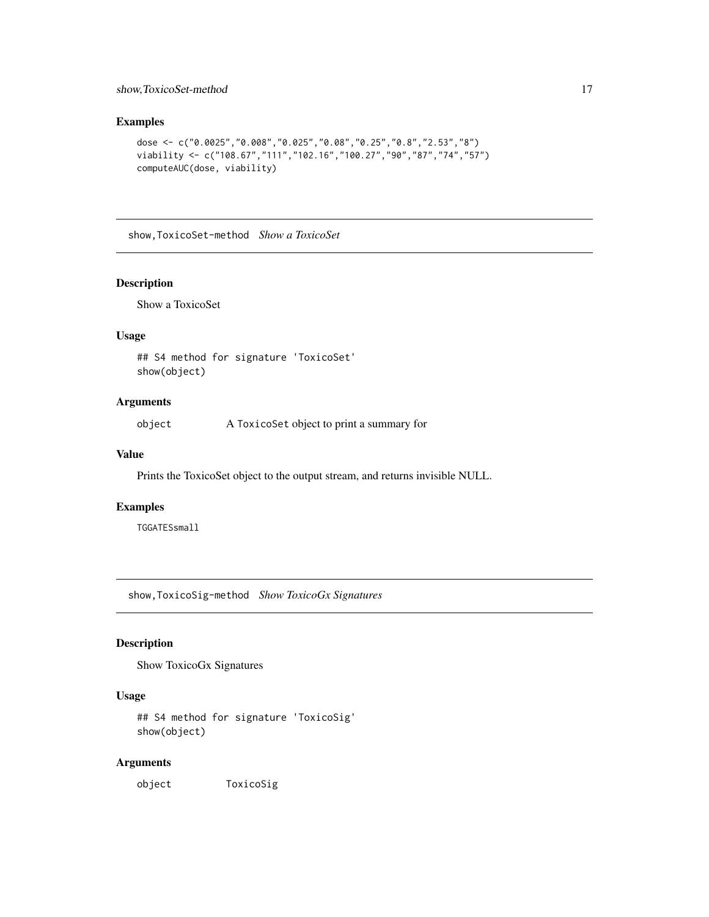#### <span id="page-16-0"></span>show,ToxicoSet-method 17

## Examples

```
dose <- c("0.0025","0.008","0.025","0.08","0.25","0.8","2.53","8")
viability <- c("108.67","111","102.16","100.27","90","87","74","57")
computeAUC(dose, viability)
```
show,ToxicoSet-method *Show a ToxicoSet*

#### Description

Show a ToxicoSet

#### Usage

## S4 method for signature 'ToxicoSet' show(object)

## Arguments

object A ToxicoSet object to print a summary for

#### Value

Prints the ToxicoSet object to the output stream, and returns invisible NULL.

#### Examples

TGGATESsmall

show,ToxicoSig-method *Show ToxicoGx Signatures*

## Description

Show ToxicoGx Signatures

## Usage

```
## S4 method for signature 'ToxicoSig'
show(object)
```
#### Arguments

object ToxicoSig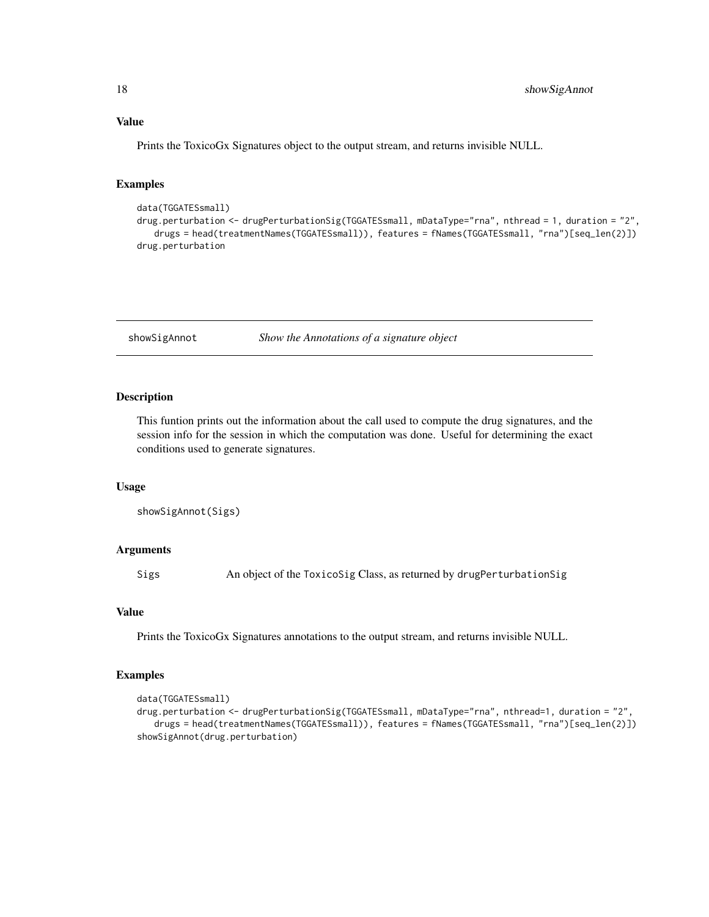## <span id="page-17-0"></span>Value

Prints the ToxicoGx Signatures object to the output stream, and returns invisible NULL.

## Examples

```
data(TGGATESsmall)
drug.perturbation <- drugPerturbationSig(TGGATESsmall, mDataType="rna", nthread = 1, duration = "2",
   drugs = head(treatmentNames(TGGATESsmall)), features = fNames(TGGATESsmall, "rna")[seq_len(2)])
drug.perturbation
```
showSigAnnot *Show the Annotations of a signature object*

#### Description

This funtion prints out the information about the call used to compute the drug signatures, and the session info for the session in which the computation was done. Useful for determining the exact conditions used to generate signatures.

#### Usage

```
showSigAnnot(Sigs)
```
#### Arguments

Sigs An object of the ToxicoSig Class, as returned by drugPerturbationSig

#### Value

Prints the ToxicoGx Signatures annotations to the output stream, and returns invisible NULL.

#### Examples

```
data(TGGATESsmall)
drug.perturbation <- drugPerturbationSig(TGGATESsmall, mDataType="rna", nthread=1, duration = "2",
   drugs = head(treatmentNames(TGGATESsmall)), features = fNames(TGGATESsmall, "rna")[seq_len(2)])
showSigAnnot(drug.perturbation)
```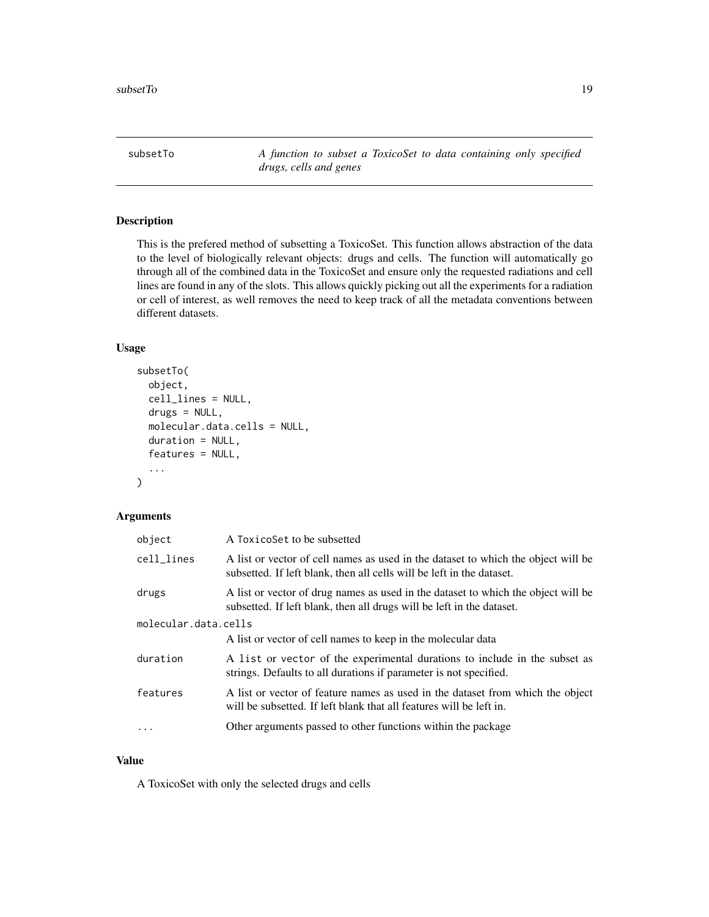<span id="page-18-0"></span>subsetTo *A function to subset a ToxicoSet to data containing only specified drugs, cells and genes*

## Description

This is the prefered method of subsetting a ToxicoSet. This function allows abstraction of the data to the level of biologically relevant objects: drugs and cells. The function will automatically go through all of the combined data in the ToxicoSet and ensure only the requested radiations and cell lines are found in any of the slots. This allows quickly picking out all the experiments for a radiation or cell of interest, as well removes the need to keep track of all the metadata conventions between different datasets.

### Usage

```
subsetTo(
  object,
  cell_lines = NULL,
  drugs = NULL,
  molecular.data.cells = NULL,
  duration = NULL,
  features = NULL,
  ...
\mathcal{L}
```
## Arguments

| object               | A ToxicoSet to be subsetted                                                                                                                                |
|----------------------|------------------------------------------------------------------------------------------------------------------------------------------------------------|
| cell_lines           | A list or vector of cell names as used in the dataset to which the object will be<br>subsetted. If left blank, then all cells will be left in the dataset. |
| drugs                | A list or vector of drug names as used in the dataset to which the object will be<br>subsetted. If left blank, then all drugs will be left in the dataset. |
| molecular.data.cells |                                                                                                                                                            |
|                      | A list or vector of cell names to keep in the molecular data                                                                                               |
| duration             | A list or vector of the experimental durations to include in the subset as<br>strings. Defaults to all durations if parameter is not specified.            |
| features             | A list or vector of feature names as used in the dataset from which the object<br>will be subsetted. If left blank that all features will be left in.      |
| $\ddots$ .           | Other arguments passed to other functions within the package                                                                                               |
|                      |                                                                                                                                                            |

#### Value

A ToxicoSet with only the selected drugs and cells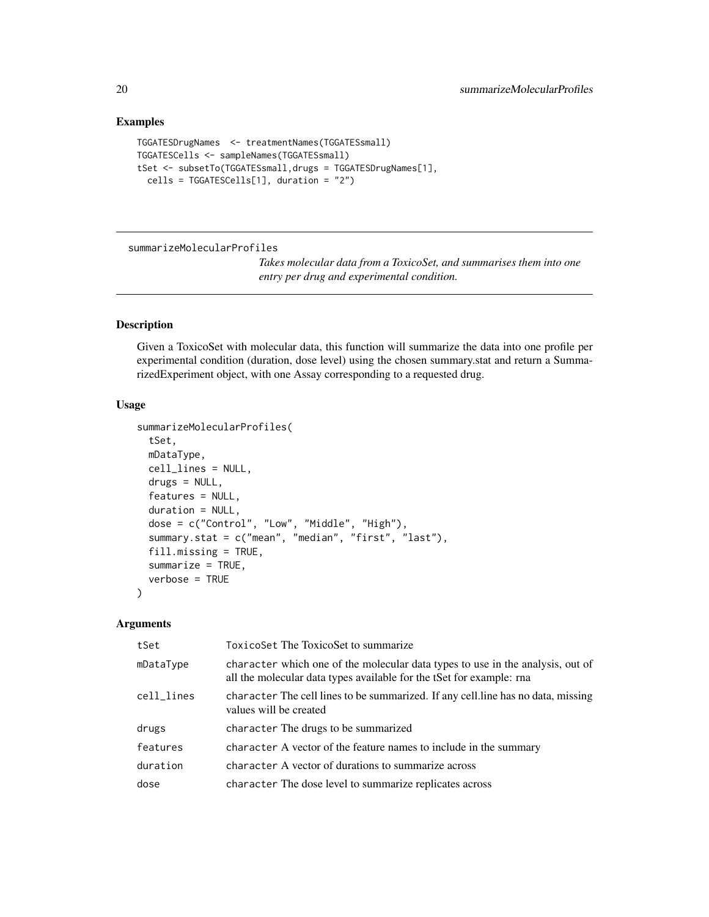#### Examples

```
TGGATESDrugNames <- treatmentNames(TGGATESsmall)
TGGATESCells <- sampleNames(TGGATESsmall)
tSet <- subsetTo(TGGATESsmall,drugs = TGGATESDrugNames[1],
  cells = TGGATESCells[1], duration = "2")
```
summarizeMolecularProfiles

*Takes molecular data from a ToxicoSet, and summarises them into one entry per drug and experimental condition.*

## Description

Given a ToxicoSet with molecular data, this function will summarize the data into one profile per experimental condition (duration, dose level) using the chosen summary.stat and return a SummarizedExperiment object, with one Assay corresponding to a requested drug.

### Usage

```
summarizeMolecularProfiles(
  tSet,
 mDataType,
 cell_lines = NULL,
  drugs = NULL,
  features = NULL,
  duration = NULL,
  dose = c("Control", "Low", "Middle", "High"),
  summary.stat = c("mean", "median", "first", "last"),
  fill.missing = TRUE,
  summarize = TRUE,
  verbose = TRUE
)
```
## Arguments

| tSet       | ToxicoSet The ToxicoSet to summarize                                                                                                                   |
|------------|--------------------------------------------------------------------------------------------------------------------------------------------------------|
| mDataType  | character which one of the molecular data types to use in the analysis, out of<br>all the molecular data types available for the tSet for example: rna |
| cell_lines | character The cell lines to be summarized. If any cell line has no data, missing<br>values will be created                                             |
| drugs      | character The drugs to be summarized                                                                                                                   |
| features   | character A vector of the feature names to include in the summary                                                                                      |
| duration   | character A vector of durations to summarize across                                                                                                    |
| dose       | character The dose level to summarize replicates across                                                                                                |
|            |                                                                                                                                                        |

<span id="page-19-0"></span>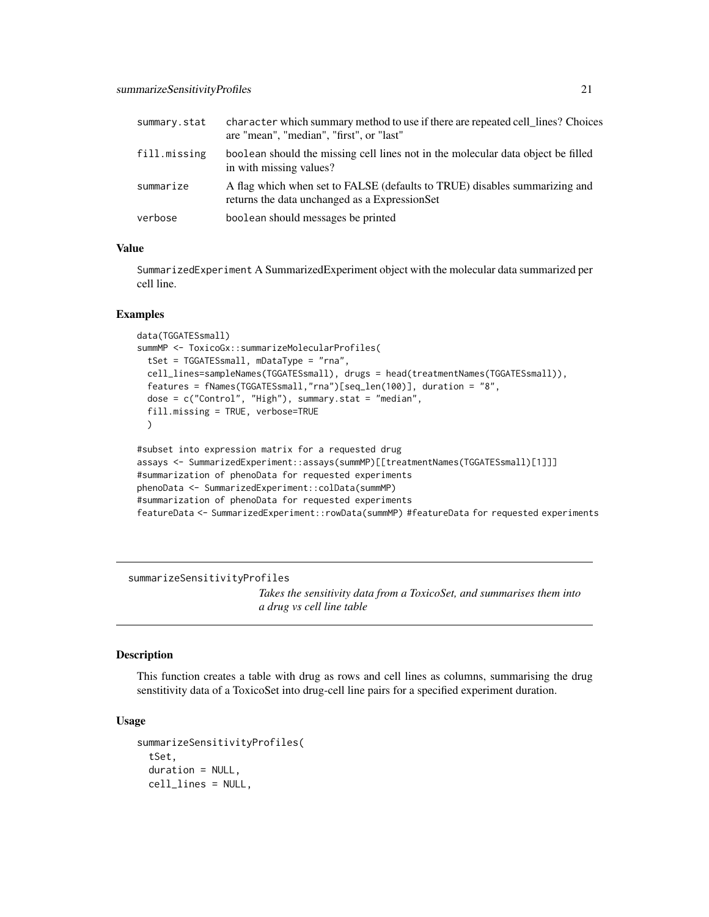<span id="page-20-0"></span>

| summary.stat | character which summary method to use if there are repeated cell_lines? Choices<br>are "mean", "median", "first", or "last" |
|--------------|-----------------------------------------------------------------------------------------------------------------------------|
| fill.missing | boolean should the missing cell lines not in the molecular data object be filled<br>in with missing values?                 |
| summarize    | A flag which when set to FALSE (defaults to TRUE) disables summarizing and<br>returns the data unchanged as a ExpressionSet |
| verbose      | boolean should messages be printed                                                                                          |

### Value

SummarizedExperiment A SummarizedExperiment object with the molecular data summarized per cell line.

#### Examples

```
data(TGGATESsmall)
summMP <- ToxicoGx::summarizeMolecularProfiles(
 tSet = TGGATESsmall, mDataType = "rna",
 cell_lines=sampleNames(TGGATESsmall), drugs = head(treatmentNames(TGGATESsmall)),
 features = fNames(TGGATESsmall,"rna")[seq_len(100)], duration = "8",
 dose = c("Control", "High"), summary.stat = "median",
 fill.missing = TRUE, verbose=TRUE
 )
#subset into expression matrix for a requested drug
assays <- SummarizedExperiment::assays(summMP)[[treatmentNames(TGGATESsmall)[1]]]
```

```
#summarization of phenoData for requested experiments
phenoData <- SummarizedExperiment::colData(summMP)
#summarization of phenoData for requested experiments
featureData <- SummarizedExperiment::rowData(summMP) #featureData for requested experiments
```
summarizeSensitivityProfiles

*Takes the sensitivity data from a ToxicoSet, and summarises them into a drug vs cell line table*

#### Description

This function creates a table with drug as rows and cell lines as columns, summarising the drug senstitivity data of a ToxicoSet into drug-cell line pairs for a specified experiment duration.

#### Usage

```
summarizeSensitivityProfiles(
  tSet,
  duration = NULL,
  cell_lines = NULL,
```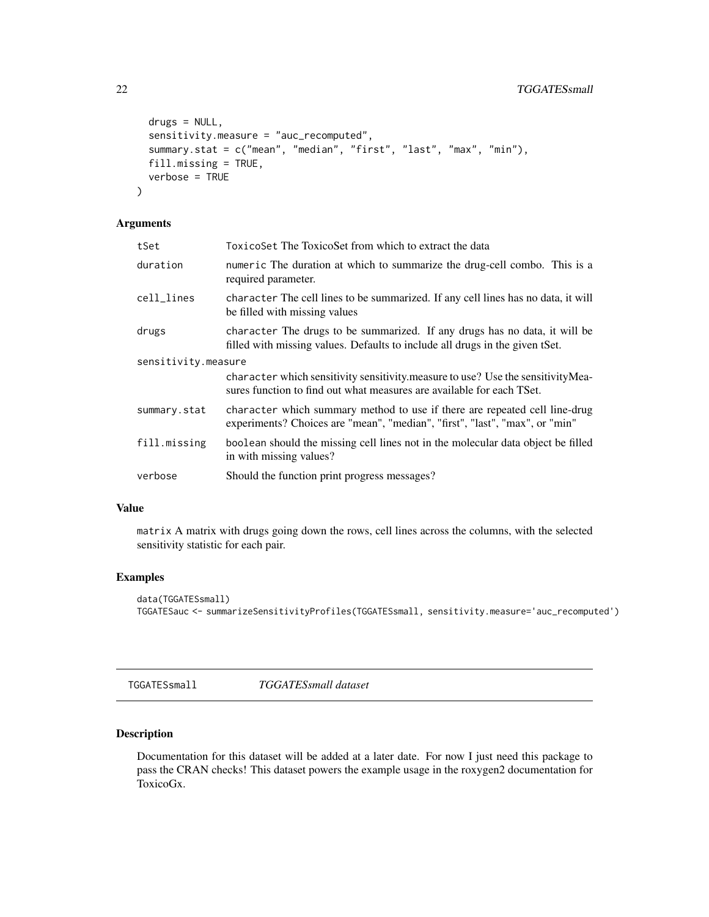```
drugs = NULL,
  sensitivity.measure = "auc_recomputed",
  summary.stat = c("mean", "median", "first", "last", "max", "min"),
  fill.missing = TRUE,
  verbose = TRUE
\mathcal{L}
```
## Arguments

| tSet                | ToxicoSet The ToxicoSet from which to extract the data                                                                                                     |
|---------------------|------------------------------------------------------------------------------------------------------------------------------------------------------------|
| duration            | numeric The duration at which to summarize the drug-cell combo. This is a<br>required parameter.                                                           |
| cell_lines          | character The cell lines to be summarized. If any cell lines has no data, it will<br>be filled with missing values                                         |
| drugs               | character The drugs to be summarized. If any drugs has no data, it will be<br>filled with missing values. Defaults to include all drugs in the given tSet. |
| sensitivity.measure |                                                                                                                                                            |
|                     | character which sensitivity sensitivity measure to use? Use the sensitivity Mea-<br>sures function to find out what measures are available for each TSet.  |
| summary.stat        | character which summary method to use if there are repeated cell line-drug<br>experiments? Choices are "mean", "median", "first", "last", "max", or "min"  |
| fill.missing        | boolean should the missing cell lines not in the molecular data object be filled<br>in with missing values?                                                |
| verbose             | Should the function print progress messages?                                                                                                               |
|                     |                                                                                                                                                            |

## Value

matrix A matrix with drugs going down the rows, cell lines across the columns, with the selected sensitivity statistic for each pair.

#### Examples

```
data(TGGATESsmall)
TGGATESauc <- summarizeSensitivityProfiles(TGGATESsmall, sensitivity.measure='auc_recomputed')
```
TGGATESsmall *TGGATESsmall dataset*

## Description

Documentation for this dataset will be added at a later date. For now I just need this package to pass the CRAN checks! This dataset powers the example usage in the roxygen2 documentation for ToxicoGx.

<span id="page-21-0"></span>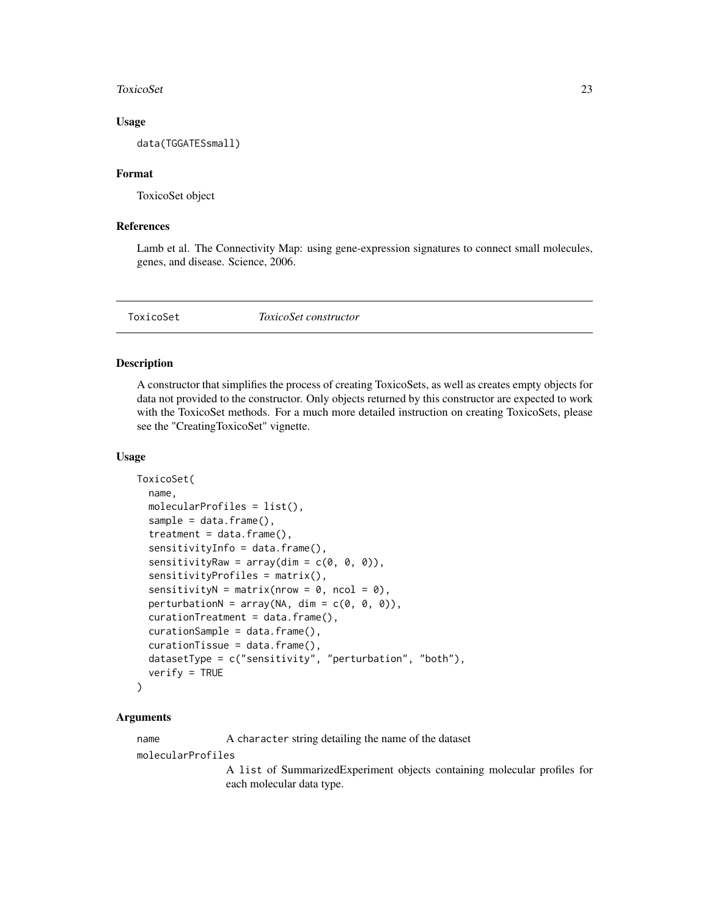#### <span id="page-22-0"></span>ToxicoSet 23

#### Usage

data(TGGATESsmall)

#### Format

ToxicoSet object

### References

Lamb et al. The Connectivity Map: using gene-expression signatures to connect small molecules, genes, and disease. Science, 2006.

<span id="page-22-1"></span>ToxicoSet *ToxicoSet constructor*

#### Description

A constructor that simplifies the process of creating ToxicoSets, as well as creates empty objects for data not provided to the constructor. Only objects returned by this constructor are expected to work with the ToxicoSet methods. For a much more detailed instruction on creating ToxicoSets, please see the "CreatingToxicoSet" vignette.

#### Usage

```
ToxicoSet(
  name,
  molecularProfiles = list(),
  sample = data.frame(),treatment = data.frame(),
  sensitivityInfo = data.frame(),
  sensitivityRaw = array(dim = c(0, 0, 0)),
  sensitivityProfiles = matrix(),
  sensitivityN = matrix(nrow = \theta, ncol = \theta),
  perturbationN = array(NA, dim = c(0, 0, 0)),curationTreatment = data.frame(),
  curationsample = data.frame(),curationTissue = data.frame(),datasetType = c("sensitivity", "perturbation", "both"),
  verify = TRUE
)
```
#### Arguments

name A character string detailing the name of the dataset

molecularProfiles

A list of SummarizedExperiment objects containing molecular profiles for each molecular data type.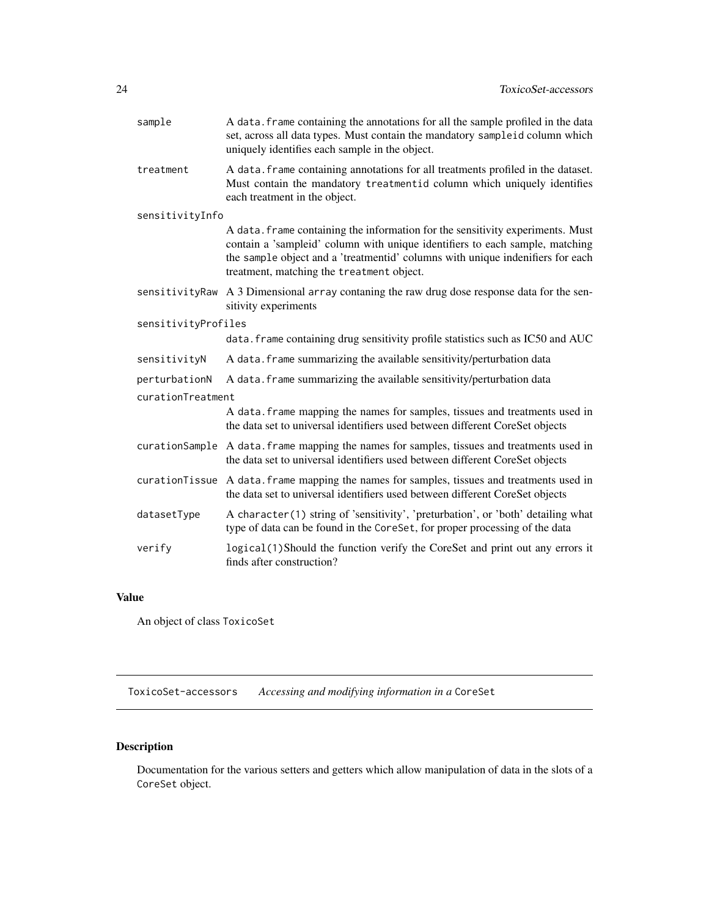<span id="page-23-0"></span>

| sample              | A data. frame containing the annotations for all the sample profiled in the data<br>set, across all data types. Must contain the mandatory sampleid column which<br>uniquely identifies each sample in the object.                                                                            |
|---------------------|-----------------------------------------------------------------------------------------------------------------------------------------------------------------------------------------------------------------------------------------------------------------------------------------------|
| treatment           | A data. frame containing annotations for all treatments profiled in the dataset.<br>Must contain the mandatory treatmentid column which uniquely identifies<br>each treatment in the object.                                                                                                  |
| sensitivityInfo     |                                                                                                                                                                                                                                                                                               |
|                     | A data. frame containing the information for the sensitivity experiments. Must<br>contain a 'sampleid' column with unique identifiers to each sample, matching<br>the sample object and a 'treatmentid' columns with unique indenifiers for each<br>treatment, matching the treatment object. |
| sensitivityRaw      | A 3 Dimensional array contaning the raw drug dose response data for the sen-<br>sitivity experiments                                                                                                                                                                                          |
| sensitivityProfiles |                                                                                                                                                                                                                                                                                               |
|                     | data. frame containing drug sensitivity profile statistics such as IC50 and AUC                                                                                                                                                                                                               |
| sensitivityN        | A data. frame summarizing the available sensitivity/perturbation data                                                                                                                                                                                                                         |
| perturbationN       | A data. frame summarizing the available sensitivity/perturbation data                                                                                                                                                                                                                         |
| curationTreatment   |                                                                                                                                                                                                                                                                                               |
|                     | A data. frame mapping the names for samples, tissues and treatments used in<br>the data set to universal identifiers used between different CoreSet objects                                                                                                                                   |
| curationSample      | A data. frame mapping the names for samples, tissues and treatments used in<br>the data set to universal identifiers used between different CoreSet objects                                                                                                                                   |
| curationTissue      | A data. frame mapping the names for samples, tissues and treatments used in<br>the data set to universal identifiers used between different CoreSet objects                                                                                                                                   |
| datasetType         | A character(1) string of 'sensitivity', 'preturbation', or 'both' detailing what<br>type of data can be found in the CoreSet, for proper processing of the data                                                                                                                               |
| verify              | logical(1)Should the function verify the CoreSet and print out any errors it<br>finds after construction?                                                                                                                                                                                     |
|                     |                                                                                                                                                                                                                                                                                               |

## Value

An object of class ToxicoSet

ToxicoSet-accessors *Accessing and modifying information in a* CoreSet

# Description

Documentation for the various setters and getters which allow manipulation of data in the slots of a CoreSet object.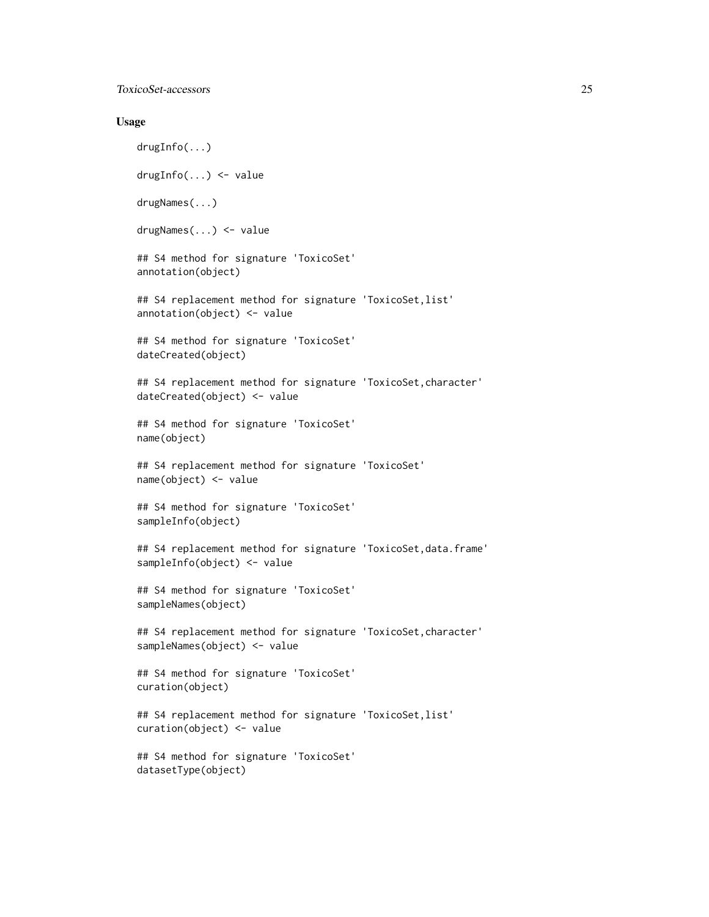ToxicoSet-accessors 25

#### Usage

drugInfo(...) drugInfo(...) <- value drugNames(...) drugNames(...) <- value ## S4 method for signature 'ToxicoSet' annotation(object) ## S4 replacement method for signature 'ToxicoSet,list' annotation(object) <- value ## S4 method for signature 'ToxicoSet' dateCreated(object) ## S4 replacement method for signature 'ToxicoSet, character' dateCreated(object) <- value ## S4 method for signature 'ToxicoSet' name(object) ## S4 replacement method for signature 'ToxicoSet' name(object) <- value ## S4 method for signature 'ToxicoSet' sampleInfo(object) ## S4 replacement method for signature 'ToxicoSet, data.frame' sampleInfo(object) <- value ## S4 method for signature 'ToxicoSet' sampleNames(object) ## S4 replacement method for signature 'ToxicoSet, character' sampleNames(object) <- value ## S4 method for signature 'ToxicoSet' curation(object) ## S4 replacement method for signature 'ToxicoSet,list' curation(object) <- value ## S4 method for signature 'ToxicoSet' datasetType(object)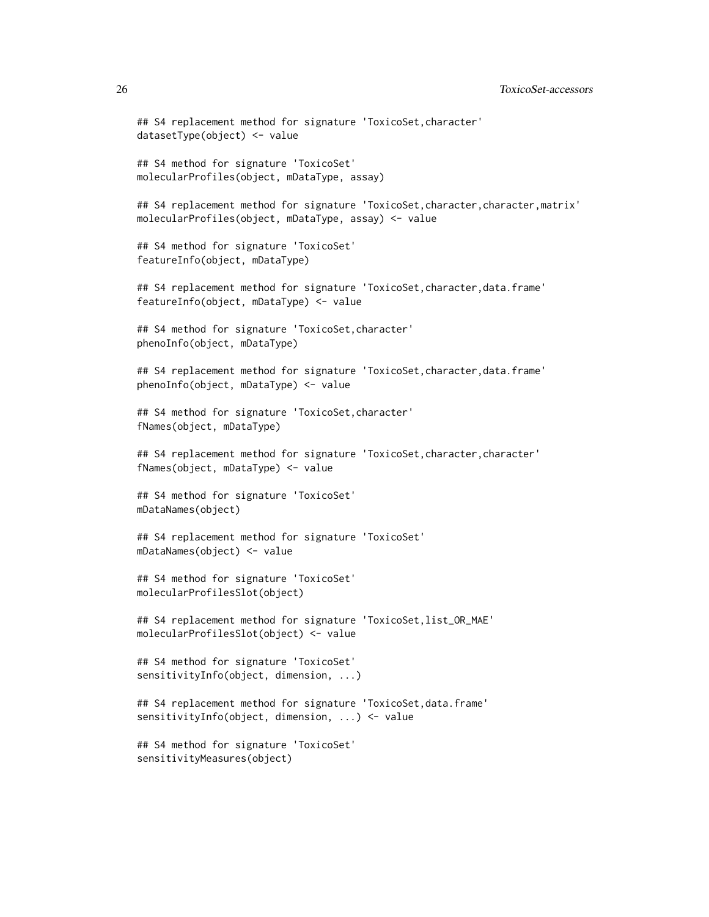```
## S4 replacement method for signature 'ToxicoSet, character'
datasetType(object) <- value
## S4 method for signature 'ToxicoSet'
molecularProfiles(object, mDataType, assay)
## S4 replacement method for signature 'ToxicoSet, character, character, matrix'
molecularProfiles(object, mDataType, assay) <- value
## S4 method for signature 'ToxicoSet'
featureInfo(object, mDataType)
## S4 replacement method for signature 'ToxicoSet,character,data.frame'
featureInfo(object, mDataType) <- value
## S4 method for signature 'ToxicoSet,character'
phenoInfo(object, mDataType)
## S4 replacement method for signature 'ToxicoSet,character,data.frame'
phenoInfo(object, mDataType) <- value
## S4 method for signature 'ToxicoSet,character'
fNames(object, mDataType)
## S4 replacement method for signature 'ToxicoSet, character, character'
fNames(object, mDataType) <- value
## S4 method for signature 'ToxicoSet'
mDataNames(object)
## S4 replacement method for signature 'ToxicoSet'
mDataNames(object) <- value
## S4 method for signature 'ToxicoSet'
molecularProfilesSlot(object)
## S4 replacement method for signature 'ToxicoSet,list_OR_MAE'
molecularProfilesSlot(object) <- value
## S4 method for signature 'ToxicoSet'
sensitivityInfo(object, dimension, ...)
## S4 replacement method for signature 'ToxicoSet,data.frame'
sensitivityInfo(object, dimension, ...) <- value
## S4 method for signature 'ToxicoSet'
sensitivityMeasures(object)
```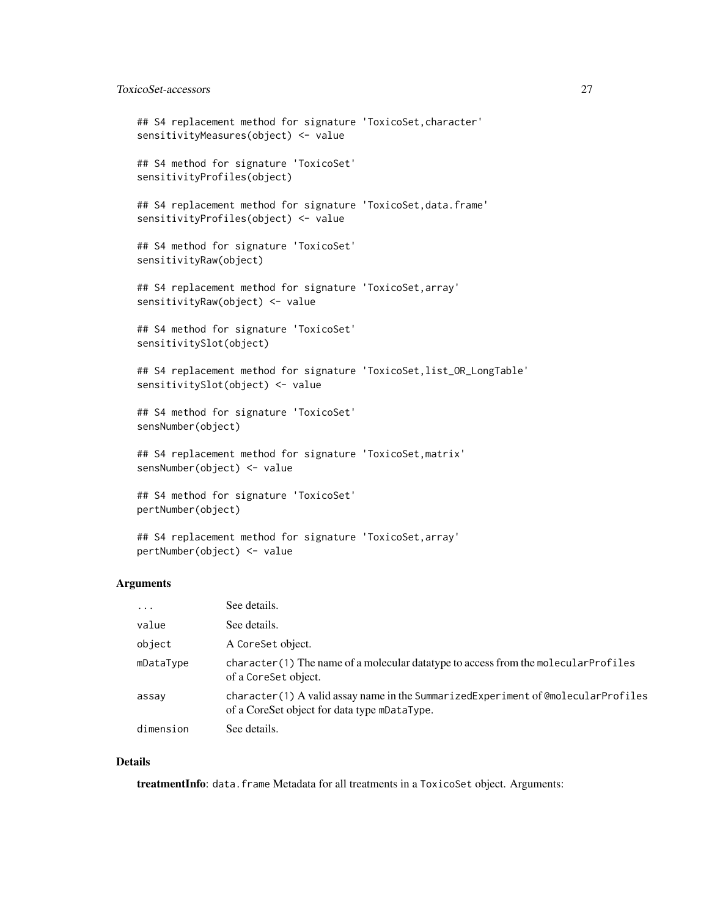## ToxicoSet-accessors 27

```
## S4 replacement method for signature 'ToxicoSet, character'
sensitivityMeasures(object) <- value
## S4 method for signature 'ToxicoSet'
sensitivityProfiles(object)
## S4 replacement method for signature 'ToxicoSet, data.frame'
sensitivityProfiles(object) <- value
## S4 method for signature 'ToxicoSet'
sensitivityRaw(object)
## S4 replacement method for signature 'ToxicoSet,array'
sensitivityRaw(object) <- value
## S4 method for signature 'ToxicoSet'
sensitivitySlot(object)
## S4 replacement method for signature 'ToxicoSet, list_OR_LongTable'
sensitivitySlot(object) <- value
## S4 method for signature 'ToxicoSet'
sensNumber(object)
## S4 replacement method for signature 'ToxicoSet, matrix'
sensNumber(object) <- value
## S4 method for signature 'ToxicoSet'
pertNumber(object)
## S4 replacement method for signature 'ToxicoSet,array'
```
#### Arguments

pertNumber(object) <- value

| $\cdot$ $\cdot$ $\cdot$ | See details.                                                                                                                      |
|-------------------------|-----------------------------------------------------------------------------------------------------------------------------------|
| value                   | See details.                                                                                                                      |
| object                  | A CoreSet object.                                                                                                                 |
| mDataType               | character (1) The name of a molecular data type to access from the molecular Profiles<br>of a CoreSet object.                     |
| assay                   | character(1) A valid assay name in the SummarizedExperiment of @molecularProfiles<br>of a CoreSet object for data type mDataType. |
| dimension               | See details.                                                                                                                      |

#### Details

treatmentInfo: data.frame Metadata for all treatments in a ToxicoSet object. Arguments: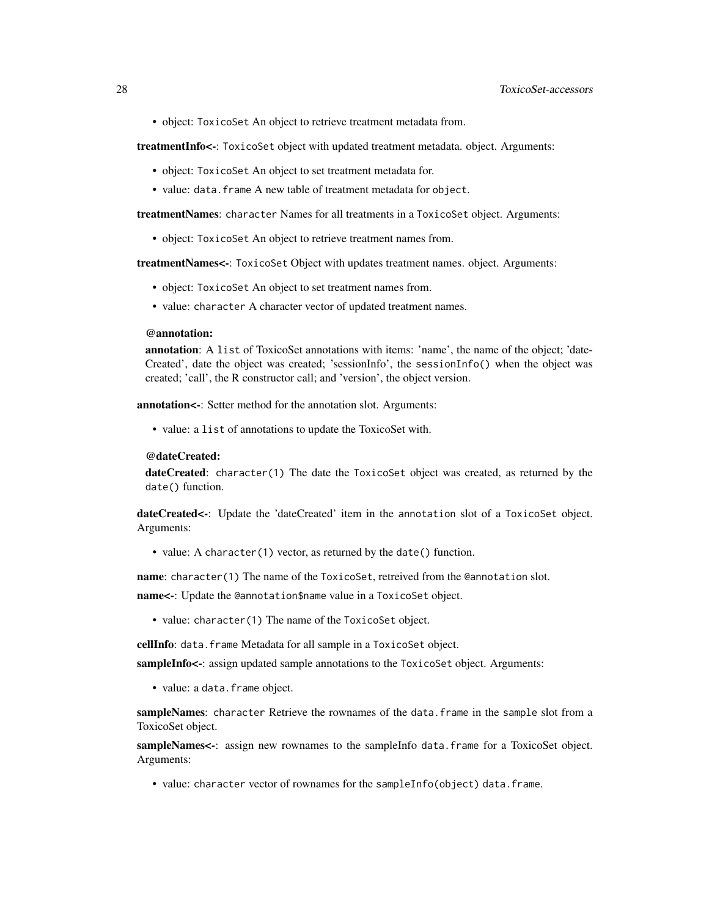• object: ToxicoSet An object to retrieve treatment metadata from.

treatmentInfo<-: ToxicoSet object with updated treatment metadata. object. Arguments:

- object: ToxicoSet An object to set treatment metadata for.
- value: data.frame A new table of treatment metadata for object.

treatmentNames: character Names for all treatments in a ToxicoSet object. Arguments:

• object: ToxicoSet An object to retrieve treatment names from.

treatmentNames<-: ToxicoSet Object with updates treatment names. object. Arguments:

- object: ToxicoSet An object to set treatment names from.
- value: character A character vector of updated treatment names.

#### @annotation:

annotation: A list of ToxicoSet annotations with items: 'name', the name of the object; 'date-Created', date the object was created; 'sessionInfo', the sessionInfo() when the object was created; 'call', the R constructor call; and 'version', the object version.

annotation<-: Setter method for the annotation slot. Arguments:

• value: a list of annotations to update the ToxicoSet with.

#### @dateCreated:

dateCreated: character(1) The date the ToxicoSet object was created, as returned by the date() function.

dateCreated<-: Update the 'dateCreated' item in the annotation slot of a ToxicoSet object. Arguments:

• value: A character(1) vector, as returned by the date() function.

name: character(1) The name of the ToxicoSet, retreived from the @annotation slot.

name<-: Update the @annotation\$name value in a ToxicoSet object.

• value: character(1) The name of the ToxicoSet object.

cellInfo: data.frame Metadata for all sample in a ToxicoSet object.

sampleInfo<-: assign updated sample annotations to the ToxicoSet object. Arguments:

• value: a data.frame object.

sampleNames: character Retrieve the rownames of the data.frame in the sample slot from a ToxicoSet object.

sampleNames<-: assign new rownames to the sampleInfo data.frame for a ToxicoSet object. Arguments:

• value: character vector of rownames for the sampleInfo(object) data.frame.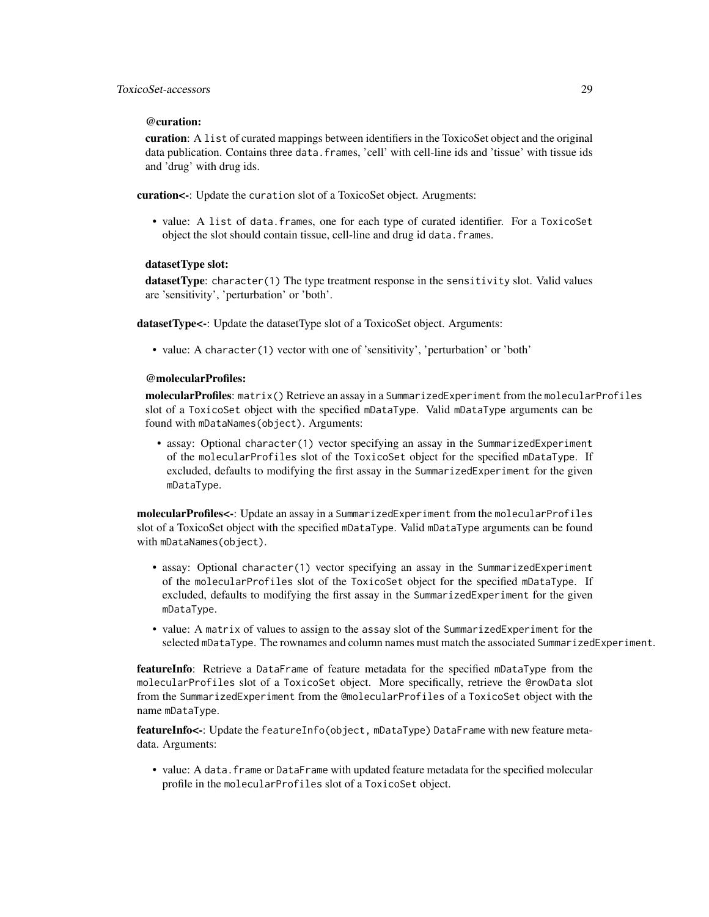#### @curation:

curation: A list of curated mappings between identifiers in the ToxicoSet object and the original data publication. Contains three data.frames, 'cell' with cell-line ids and 'tissue' with tissue ids and 'drug' with drug ids.

curation<-: Update the curation slot of a ToxicoSet object. Arugments:

• value: A list of data.frames, one for each type of curated identifier. For a ToxicoSet object the slot should contain tissue, cell-line and drug id data.frames.

#### datasetType slot:

datasetType: character(1) The type treatment response in the sensitivity slot. Valid values are 'sensitivity', 'perturbation' or 'both'.

datasetType<-: Update the datasetType slot of a ToxicoSet object. Arguments:

• value: A character(1) vector with one of 'sensitivity', 'perturbation' or 'both'

#### @molecularProfiles:

molecularProfiles: matrix() Retrieve an assay in a SummarizedExperiment from the molecularProfiles slot of a ToxicoSet object with the specified mDataType. Valid mDataType arguments can be found with mDataNames(object). Arguments:

• assay: Optional character(1) vector specifying an assay in the SummarizedExperiment of the molecularProfiles slot of the ToxicoSet object for the specified mDataType. If excluded, defaults to modifying the first assay in the SummarizedExperiment for the given mDataType.

molecularProfiles<-: Update an assay in a SummarizedExperiment from the molecularProfiles slot of a ToxicoSet object with the specified mDataType. Valid mDataType arguments can be found with mDataNames(object).

- assay: Optional character(1) vector specifying an assay in the SummarizedExperiment of the molecularProfiles slot of the ToxicoSet object for the specified mDataType. If excluded, defaults to modifying the first assay in the SummarizedExperiment for the given mDataType.
- value: A matrix of values to assign to the assay slot of the SummarizedExperiment for the selected mDataType. The rownames and column names must match the associated SummarizedExperiment.

**featureInfo**: Retrieve a DataFrame of feature metadata for the specified mDataType from the molecularProfiles slot of a ToxicoSet object. More specifically, retrieve the @rowData slot from the SummarizedExperiment from the @molecularProfiles of a ToxicoSet object with the name mDataType.

featureInfo<-: Update the featureInfo(object, mDataType) DataFrame with new feature metadata. Arguments:

• value: A data.frame or DataFrame with updated feature metadata for the specified molecular profile in the molecularProfiles slot of a ToxicoSet object.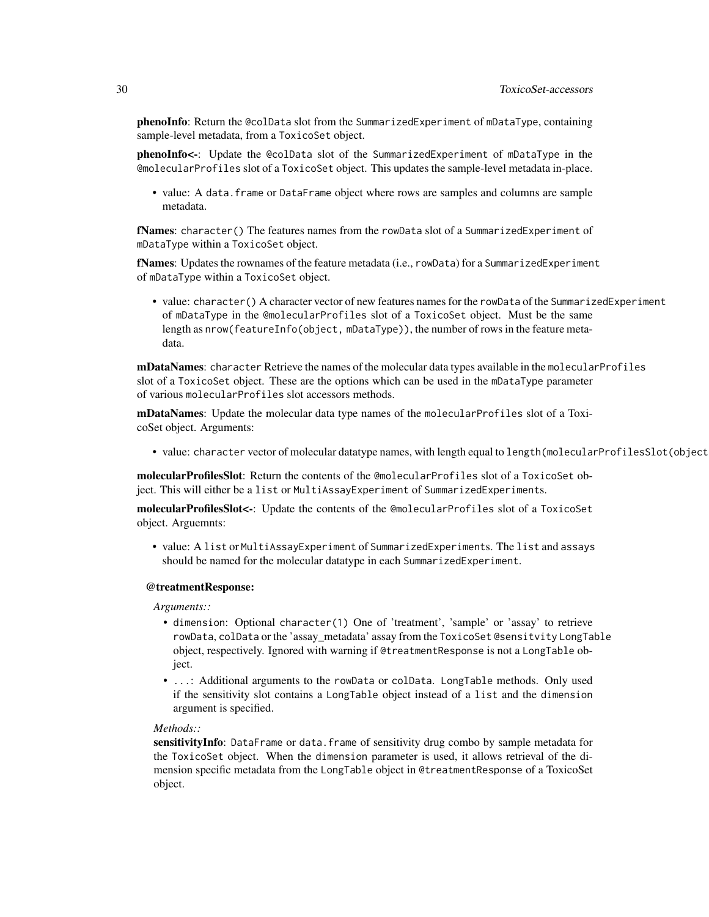phenoInfo: Return the @colData slot from the SummarizedExperiment of mDataType, containing sample-level metadata, from a ToxicoSet object.

phenoInfo<-: Update the @colData slot of the SummarizedExperiment of mDataType in the @molecularProfiles slot of a ToxicoSet object. This updates the sample-level metadata in-place.

• value: A data.frame or DataFrame object where rows are samples and columns are sample metadata.

fNames: character() The features names from the rowData slot of a SummarizedExperiment of mDataType within a ToxicoSet object.

fNames: Updates the rownames of the feature metadata (i.e., rowData) for a SummarizedExperiment of mDataType within a ToxicoSet object.

• value: character() A character vector of new features names for the rowData of the SummarizedExperiment of mDataType in the @molecularProfiles slot of a ToxicoSet object. Must be the same length as nrow(featureInfo(object, mDataType)), the number of rows in the feature metadata.

**mDataNames:** character Retrieve the names of the molecular data types available in the molecular Profiles slot of a ToxicoSet object. These are the options which can be used in the mDataType parameter of various molecularProfiles slot accessors methods.

mDataNames: Update the molecular data type names of the molecularProfiles slot of a ToxicoSet object. Arguments:

• value: character vector of molecular datatype names, with length equal to length(molecularProfilesSlot(object

molecularProfilesSlot: Return the contents of the @molecularProfiles slot of a ToxicoSet object. This will either be a list or MultiAssayExperiment of SummarizedExperiments.

molecularProfilesSlot<-: Update the contents of the @molecularProfiles slot of a ToxicoSet object. Arguemnts:

• value: A list or MultiAssayExperiment of SummarizedExperiments. The list and assays should be named for the molecular datatype in each SummarizedExperiment.

#### @treatmentResponse:

*Arguments::*

- dimension: Optional character(1) One of 'treatment', 'sample' or 'assay' to retrieve rowData, colData or the 'assay\_metadata' assay from the ToxicoSet @sensitvity LongTable object, respectively. Ignored with warning if @treatmentResponse is not a LongTable object.
- ...: Additional arguments to the rowData or colData. LongTable methods. Only used if the sensitivity slot contains a LongTable object instead of a list and the dimension argument is specified.

#### *Methods::*

sensitivityInfo: DataFrame or data.frame of sensitivity drug combo by sample metadata for the ToxicoSet object. When the dimension parameter is used, it allows retrieval of the dimension specific metadata from the LongTable object in @treatmentResponse of a ToxicoSet object.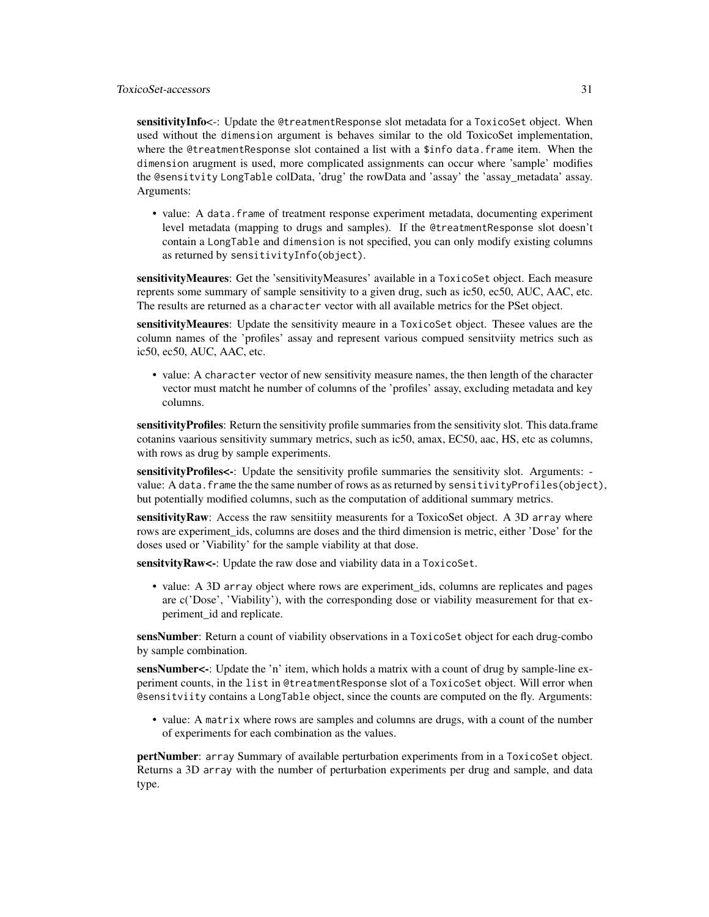sensitivityInfo<-: Update the @treatmentResponse slot metadata for a ToxicoSet object. When used without the dimension argument is behaves similar to the old ToxicoSet implementation, where the @treatmentResponse slot contained a list with a \$info data.frame item. When the dimension arugment is used, more complicated assignments can occur where 'sample' modifies the @sensitvity LongTable colData, 'drug' the rowData and 'assay' the 'assay\_metadata' assay. Arguments:

• value: A data. frame of treatment response experiment metadata, documenting experiment level metadata (mapping to drugs and samples). If the @treatmentResponse slot doesn't contain a LongTable and dimension is not specified, you can only modify existing columns as returned by sensitivityInfo(object).

sensitivityMeaures: Get the 'sensitivityMeasures' available in a ToxicoSet object. Each measure reprents some summary of sample sensitivity to a given drug, such as ic50, ec50, AUC, AAC, etc. The results are returned as a character vector with all available metrics for the PSet object.

sensitivityMeaures: Update the sensitivity meaure in a ToxicoSet object. Thesee values are the column names of the 'profiles' assay and represent various compued sensitviity metrics such as ic50, ec50, AUC, AAC, etc.

• value: A character vector of new sensitivity measure names, the then length of the character vector must matcht he number of columns of the 'profiles' assay, excluding metadata and key columns.

sensitivityProfiles: Return the sensitivity profile summaries from the sensitivity slot. This data.frame cotanins vaarious sensitivity summary metrics, such as ic50, amax, EC50, aac, HS, etc as columns, with rows as drug by sample experiments.

sensitivityProfiles<-: Update the sensitivity profile summaries the sensitivity slot. Arguments: value: A data.frame the the same number of rows as as returned by sensitivityProfiles(object), but potentially modified columns, such as the computation of additional summary metrics.

sensitivity Raw: Access the raw sensitiity measurents for a ToxicoSet object. A 3D array where rows are experiment ids, columns are doses and the third dimension is metric, either 'Dose' for the doses used or 'Viability' for the sample viability at that dose.

sensitvity Raw<-: Update the raw dose and viability data in a ToxicoSet.

• value: A 3D array object where rows are experiment\_ids, columns are replicates and pages are c('Dose', 'Viability'), with the corresponding dose or viability measurement for that experiment\_id and replicate.

sensNumber: Return a count of viability observations in a ToxicoSet object for each drug-combo by sample combination.

sensNumber<-: Update the 'n' item, which holds a matrix with a count of drug by sample-line experiment counts, in the list in @treatmentResponse slot of a ToxicoSet object. Will error when @sensitviity contains a LongTable object, since the counts are computed on the fly. Arguments:

• value: A matrix where rows are samples and columns are drugs, with a count of the number of experiments for each combination as the values.

pertNumber: array Summary of available perturbation experiments from in a ToxicoSet object. Returns a 3D array with the number of perturbation experiments per drug and sample, and data type.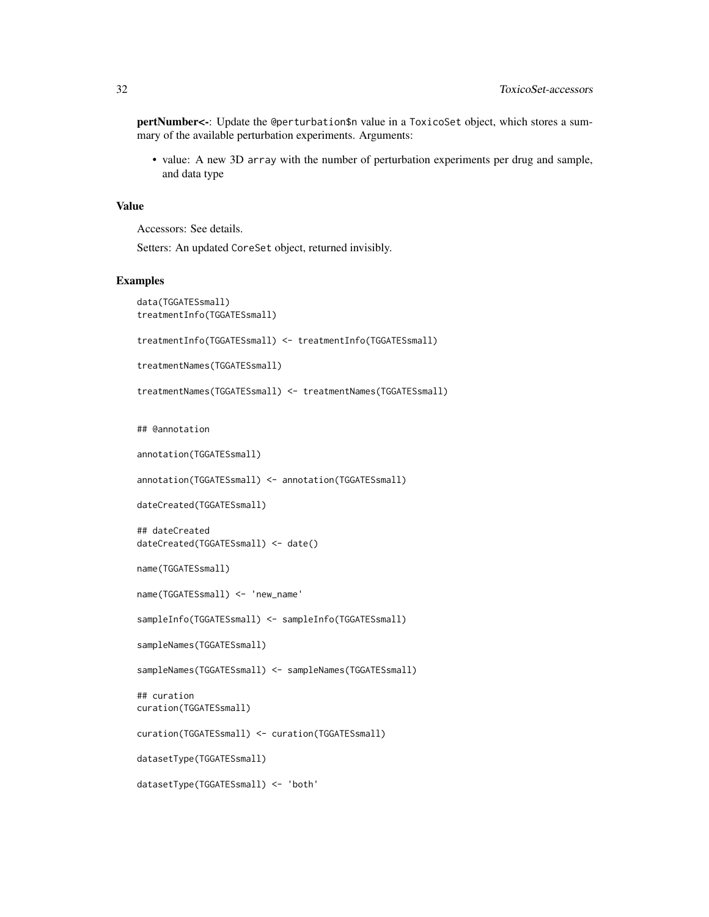pertNumber<-: Update the @perturbation\$n value in a ToxicoSet object, which stores a summary of the available perturbation experiments. Arguments:

• value: A new 3D array with the number of perturbation experiments per drug and sample, and data type

#### Value

Accessors: See details.

Setters: An updated CoreSet object, returned invisibly.

#### Examples

```
data(TGGATESsmall)
treatmentInfo(TGGATESsmall)
treatmentInfo(TGGATESsmall) <- treatmentInfo(TGGATESsmall)
treatmentNames(TGGATESsmall)
treatmentNames(TGGATESsmall) <- treatmentNames(TGGATESsmall)
## @annotation
annotation(TGGATESsmall)
annotation(TGGATESsmall) <- annotation(TGGATESsmall)
dateCreated(TGGATESsmall)
## dateCreated
dateCreated(TGGATESsmall) <- date()
name(TGGATESsmall)
name(TGGATESsmall) <- 'new_name'
sampleInfo(TGGATESsmall) <- sampleInfo(TGGATESsmall)
sampleNames(TGGATESsmall)
sampleNames(TGGATESsmall) <- sampleNames(TGGATESsmall)
## curation
curation(TGGATESsmall)
curation(TGGATESsmall) <- curation(TGGATESsmall)
datasetType(TGGATESsmall)
datasetType(TGGATESsmall) <- 'both'
```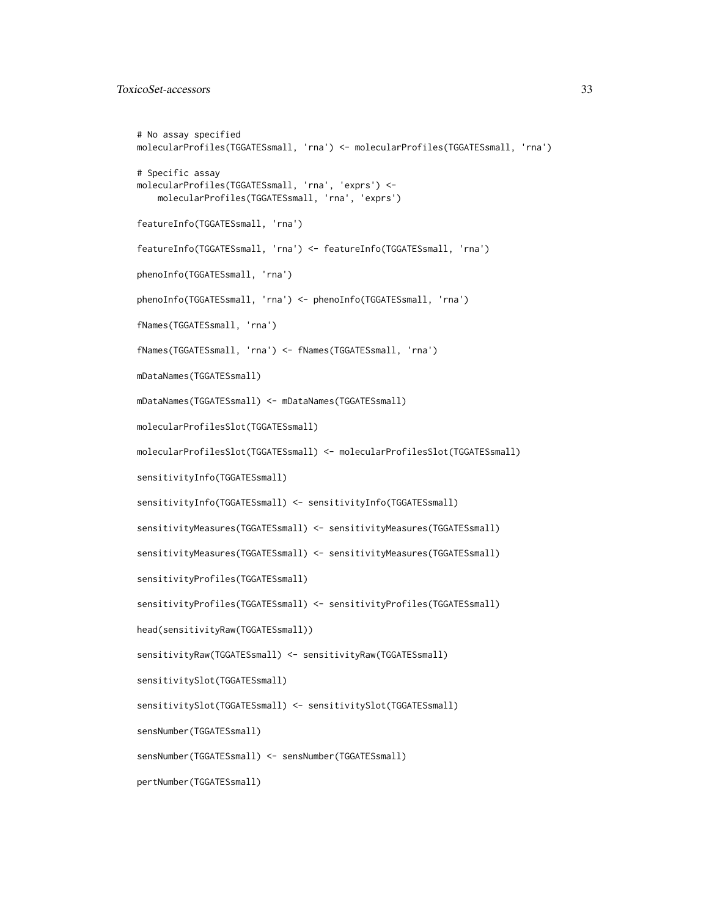```
# No assay specified
molecularProfiles(TGGATESsmall, 'rna') <- molecularProfiles(TGGATESsmall, 'rna')
# Specific assay
molecularProfiles(TGGATESsmall, 'rna', 'exprs') <-
    molecularProfiles(TGGATESsmall, 'rna', 'exprs')
featureInfo(TGGATESsmall, 'rna')
featureInfo(TGGATESsmall, 'rna') <- featureInfo(TGGATESsmall, 'rna')
phenoInfo(TGGATESsmall, 'rna')
phenoInfo(TGGATESsmall, 'rna') <- phenoInfo(TGGATESsmall, 'rna')
fNames(TGGATESsmall, 'rna')
fNames(TGGATESsmall, 'rna') <- fNames(TGGATESsmall, 'rna')
mDataNames(TGGATESsmall)
mDataNames(TGGATESsmall) <- mDataNames(TGGATESsmall)
molecularProfilesSlot(TGGATESsmall)
molecularProfilesSlot(TGGATESsmall) <- molecularProfilesSlot(TGGATESsmall)
sensitivityInfo(TGGATESsmall)
sensitivityInfo(TGGATESsmall) <- sensitivityInfo(TGGATESsmall)
sensitivityMeasures(TGGATESsmall) <- sensitivityMeasures(TGGATESsmall)
sensitivityMeasures(TGGATESsmall) <- sensitivityMeasures(TGGATESsmall)
sensitivityProfiles(TGGATESsmall)
sensitivityProfiles(TGGATESsmall) <- sensitivityProfiles(TGGATESsmall)
head(sensitivityRaw(TGGATESsmall))
sensitivityRaw(TGGATESsmall) <- sensitivityRaw(TGGATESsmall)
sensitivitySlot(TGGATESsmall)
sensitivitySlot(TGGATESsmall) <- sensitivitySlot(TGGATESsmall)
sensNumber(TGGATESsmall)
sensNumber(TGGATESsmall) <- sensNumber(TGGATESsmall)
pertNumber(TGGATESsmall)
```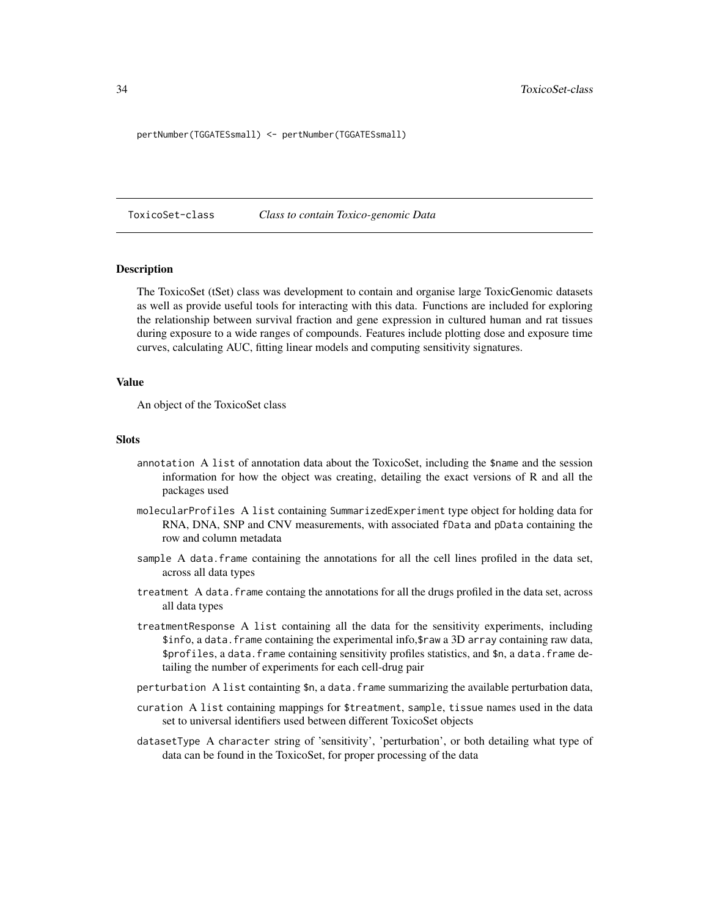<span id="page-33-0"></span>pertNumber(TGGATESsmall) <- pertNumber(TGGATESsmall)

ToxicoSet-class *Class to contain Toxico-genomic Data*

#### **Description**

The ToxicoSet (tSet) class was development to contain and organise large ToxicGenomic datasets as well as provide useful tools for interacting with this data. Functions are included for exploring the relationship between survival fraction and gene expression in cultured human and rat tissues during exposure to a wide ranges of compounds. Features include plotting dose and exposure time curves, calculating AUC, fitting linear models and computing sensitivity signatures.

#### Value

An object of the ToxicoSet class

#### **Slots**

- annotation A list of annotation data about the ToxicoSet, including the \$name and the session information for how the object was creating, detailing the exact versions of R and all the packages used
- molecularProfiles A list containing SummarizedExperiment type object for holding data for RNA, DNA, SNP and CNV measurements, with associated fData and pData containing the row and column metadata
- sample A data. frame containing the annotations for all the cell lines profiled in the data set, across all data types
- treatment A data.frame containg the annotations for all the drugs profiled in the data set, across all data types
- treatmentResponse A list containing all the data for the sensitivity experiments, including \$info, a data.frame containing the experimental info,\$raw a 3D array containing raw data, \$profiles, a data.frame containing sensitivity profiles statistics, and \$n, a data.frame detailing the number of experiments for each cell-drug pair
- perturbation A list containting \$n, a data.frame summarizing the available perturbation data,
- curation A list containing mappings for \$treatment, sample, tissue names used in the data set to universal identifiers used between different ToxicoSet objects
- datasetType A character string of 'sensitivity', 'perturbation', or both detailing what type of data can be found in the ToxicoSet, for proper processing of the data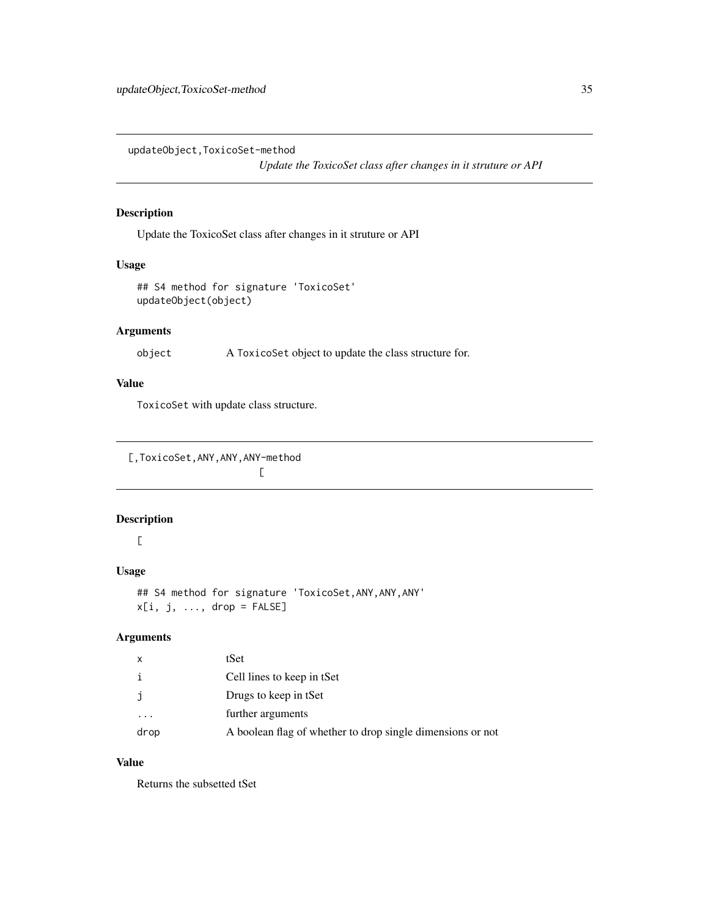<span id="page-34-0"></span>updateObject,ToxicoSet-method

*Update the ToxicoSet class after changes in it struture or API*

## Description

Update the ToxicoSet class after changes in it struture or API

#### Usage

```
## S4 method for signature 'ToxicoSet'
updateObject(object)
```
## Arguments

object A ToxicoSet object to update the class structure for.

## Value

ToxicoSet with update class structure.

[,ToxicoSet,ANY,ANY,ANY-method

 $\Gamma$ 

#### Description

 $\Gamma$ 

## Usage

## S4 method for signature 'ToxicoSet,ANY,ANY,ANY'  $x[i, j, ..., drop = FALSE]$ 

## Arguments

| x    | tSet                                                       |
|------|------------------------------------------------------------|
| i    | Cell lines to keep in tSet                                 |
| j    | Drugs to keep in tSet                                      |
|      | further arguments                                          |
| drop | A boolean flag of whether to drop single dimensions or not |

## Value

Returns the subsetted tSet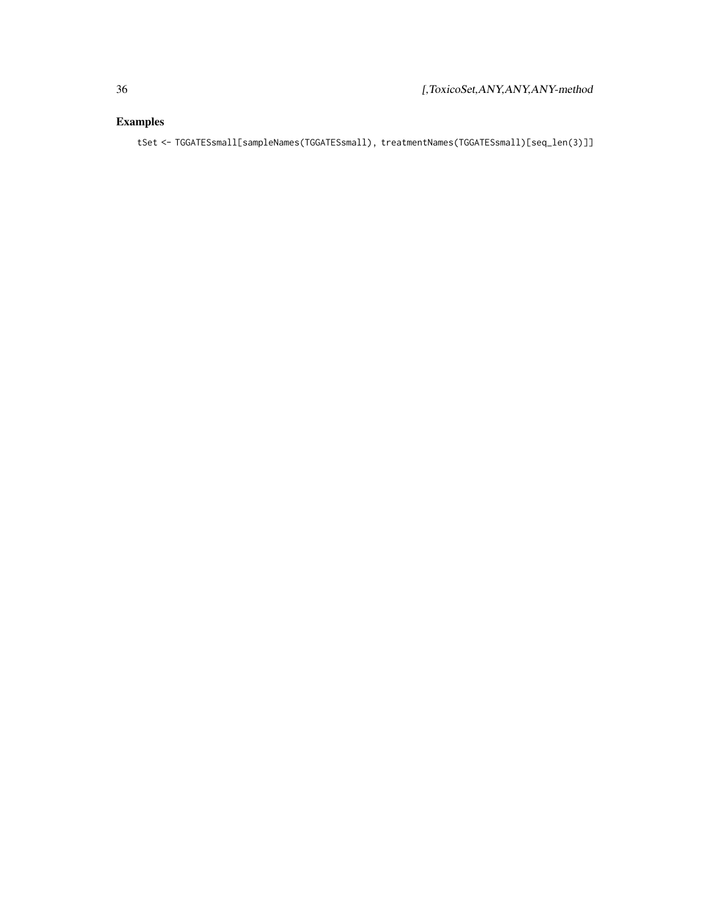## Examples

tSet <- TGGATESsmall[sampleNames(TGGATESsmall), treatmentNames(TGGATESsmall)[seq\_len(3)]]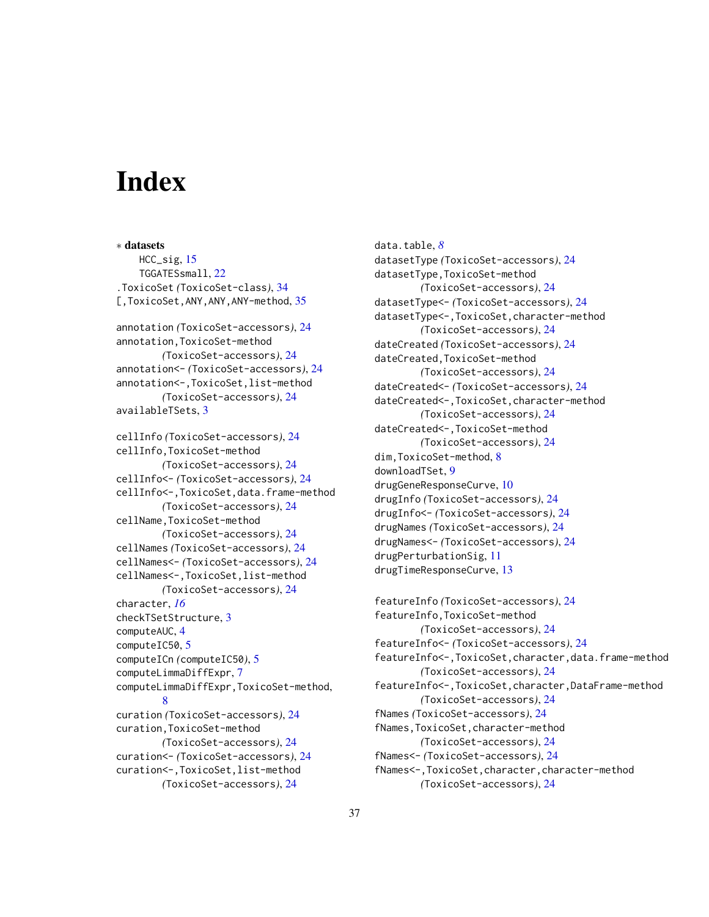# <span id="page-36-0"></span>**Index**

∗ datasets HCC\_sig, [15](#page-14-0) TGGATESsmall, [22](#page-21-0) .ToxicoSet *(*ToxicoSet-class*)*, [34](#page-33-0) [,ToxicoSet,ANY,ANY,ANY-method, [35](#page-34-0) annotation *(*ToxicoSet-accessors*)*, [24](#page-23-0) annotation,ToxicoSet-method *(*ToxicoSet-accessors*)*, [24](#page-23-0) annotation<- *(*ToxicoSet-accessors*)*, [24](#page-23-0) annotation<-,ToxicoSet,list-method *(*ToxicoSet-accessors*)*, [24](#page-23-0) availableTSets, [3](#page-2-0) cellInfo *(*ToxicoSet-accessors*)*, [24](#page-23-0) cellInfo,ToxicoSet-method *(*ToxicoSet-accessors*)*, [24](#page-23-0) cellInfo<- *(*ToxicoSet-accessors*)*, [24](#page-23-0) cellInfo<-,ToxicoSet,data.frame-method *(*ToxicoSet-accessors*)*, [24](#page-23-0) cellName,ToxicoSet-method *(*ToxicoSet-accessors*)*, [24](#page-23-0) cellNames *(*ToxicoSet-accessors*)*, [24](#page-23-0) cellNames<- *(*ToxicoSet-accessors*)*, [24](#page-23-0) cellNames<-,ToxicoSet,list-method *(*ToxicoSet-accessors*)*, [24](#page-23-0) character, *[16](#page-15-0)* checkTSetStructure, [3](#page-2-0) computeAUC, [4](#page-3-0) computeIC50, [5](#page-4-0) computeICn *(*computeIC50*)*, [5](#page-4-0) computeLimmaDiffExpr, [7](#page-6-0) computeLimmaDiffExpr,ToxicoSet-method, [8](#page-7-0) curation *(*ToxicoSet-accessors*)*, [24](#page-23-0) curation,ToxicoSet-method *(*ToxicoSet-accessors*)*, [24](#page-23-0) curation<- *(*ToxicoSet-accessors*)*, [24](#page-23-0) curation<-,ToxicoSet,list-method *(*ToxicoSet-accessors*)*, [24](#page-23-0)

data.table, *[8](#page-7-0)* datasetType *(*ToxicoSet-accessors*)*, [24](#page-23-0) datasetType,ToxicoSet-method *(*ToxicoSet-accessors*)*, [24](#page-23-0) datasetType<- *(*ToxicoSet-accessors*)*, [24](#page-23-0) datasetType<-,ToxicoSet,character-method *(*ToxicoSet-accessors*)*, [24](#page-23-0) dateCreated *(*ToxicoSet-accessors*)*, [24](#page-23-0) dateCreated,ToxicoSet-method *(*ToxicoSet-accessors*)*, [24](#page-23-0) dateCreated<- *(*ToxicoSet-accessors*)*, [24](#page-23-0) dateCreated<-,ToxicoSet,character-method *(*ToxicoSet-accessors*)*, [24](#page-23-0) dateCreated<-,ToxicoSet-method *(*ToxicoSet-accessors*)*, [24](#page-23-0) dim,ToxicoSet-method, [8](#page-7-0) downloadTSet, [9](#page-8-0) drugGeneResponseCurve, [10](#page-9-0) drugInfo *(*ToxicoSet-accessors*)*, [24](#page-23-0) drugInfo<- *(*ToxicoSet-accessors*)*, [24](#page-23-0) drugNames *(*ToxicoSet-accessors*)*, [24](#page-23-0) drugNames<- *(*ToxicoSet-accessors*)*, [24](#page-23-0) drugPerturbationSig, [11](#page-10-0) drugTimeResponseCurve, [13](#page-12-0)

featureInfo *(*ToxicoSet-accessors*)*, [24](#page-23-0) featureInfo,ToxicoSet-method *(*ToxicoSet-accessors*)*, [24](#page-23-0) featureInfo<- *(*ToxicoSet-accessors*)*, [24](#page-23-0) featureInfo<-,ToxicoSet,character,data.frame-method *(*ToxicoSet-accessors*)*, [24](#page-23-0) featureInfo<-,ToxicoSet,character,DataFrame-method *(*ToxicoSet-accessors*)*, [24](#page-23-0) fNames *(*ToxicoSet-accessors*)*, [24](#page-23-0) fNames,ToxicoSet,character-method *(*ToxicoSet-accessors*)*, [24](#page-23-0) fNames<- *(*ToxicoSet-accessors*)*, [24](#page-23-0) fNames<-,ToxicoSet,character,character-method *(*ToxicoSet-accessors*)*, [24](#page-23-0)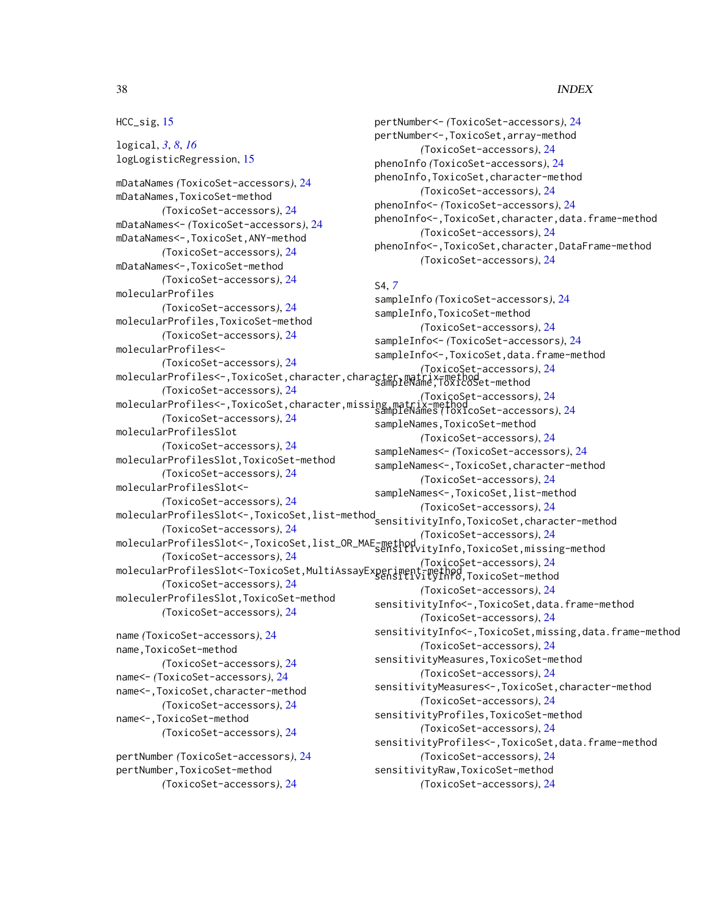#### 38 INDEX

#### HCC\_sig, [15](#page-14-0)

logical, *[3](#page-2-0)*, *[8](#page-7-0)*, *[16](#page-15-0)* logLogisticRegression, [15](#page-14-0) mDataNames *(*ToxicoSet-accessors*)*, [24](#page-23-0) mDataNames,ToxicoSet-method *(*ToxicoSet-accessors*)*, [24](#page-23-0) mDataNames<- *(*ToxicoSet-accessors*)*, [24](#page-23-0) mDataNames<-,ToxicoSet,ANY-method *(*ToxicoSet-accessors*)*, [24](#page-23-0) mDataNames<-,ToxicoSet-method *(*ToxicoSet-accessors*)*, [24](#page-23-0) molecularProfiles *(*ToxicoSet-accessors*)*, [24](#page-23-0) molecularProfiles,ToxicoSet-method *(*ToxicoSet-accessors*)*, [24](#page-23-0) molecularProfiles<- *(*ToxicoSet-accessors*)*, [24](#page-23-0) molecularProfiles<-,ToxicoSet,character,character,matrix-method sampleName,ToxicoSet-method *(*ToxicoSet-accessors*)*, [24](#page-23-0) molecularProfiles<-,ToxicoSet,character,missing,matrix-method *(*ToxicoSet-accessors*)*, [24](#page-23-0) *(*ToxicoSet-accessors*)*, [24](#page-23-0) molecularProfilesSlot *(*ToxicoSet-accessors*)*, [24](#page-23-0) molecularProfilesSlot,ToxicoSet-method *(*ToxicoSet-accessors*)*, [24](#page-23-0) molecularProfilesSlot<- *(*ToxicoSet-accessors*)*, [24](#page-23-0) molecularProfilesSlot<-,ToxicoSet,list-method *(*ToxicoSet-accessors*)*, [24](#page-23-0) *(*ToxicoSet-accessors*)*, [24](#page-23-0) molecularProfilesSlot<-,ToxicoSet,list\_OR\_MAE-method *(*ToxicoSet-accessors*)*, [24](#page-23-0) *(*ToxicoSet-accessors*)*, [24](#page-23-0) molecularProfilesSlot<-ToxicoSet,MultiAssayExperiment-method *(*ToxicoSet-accessors*)*, [24](#page-23-0) *(*ToxicoSet-accessors*)*, [24](#page-23-0) moleculerProfilesSlot,ToxicoSet-method *(*ToxicoSet-accessors*)*, [24](#page-23-0) name *(*ToxicoSet-accessors*)*, [24](#page-23-0) name,ToxicoSet-method *(*ToxicoSet-accessors*)*, [24](#page-23-0) name<- *(*ToxicoSet-accessors*)*, [24](#page-23-0) name<-,ToxicoSet,character-method *(*ToxicoSet-accessors*)*, [24](#page-23-0) name<-,ToxicoSet-method *(*ToxicoSet-accessors*)*, [24](#page-23-0) S4, *[7](#page-6-0)*

pertNumber *(*ToxicoSet-accessors*)*, [24](#page-23-0) pertNumber,ToxicoSet-method *(*ToxicoSet-accessors*)*, [24](#page-23-0)

pertNumber<- *(*ToxicoSet-accessors*)*, [24](#page-23-0) pertNumber<-,ToxicoSet,array-method *(*ToxicoSet-accessors*)*, [24](#page-23-0) phenoInfo *(*ToxicoSet-accessors*)*, [24](#page-23-0) phenoInfo,ToxicoSet,character-method *(*ToxicoSet-accessors*)*, [24](#page-23-0) phenoInfo<- *(*ToxicoSet-accessors*)*, [24](#page-23-0) phenoInfo<-,ToxicoSet,character,data.frame-method *(*ToxicoSet-accessors*)*, [24](#page-23-0) phenoInfo<-,ToxicoSet,character,DataFrame-method *(*ToxicoSet-accessors*)*, [24](#page-23-0)

sampleInfo *(*ToxicoSet-accessors*)*, [24](#page-23-0) sampleInfo,ToxicoSet-method *(*ToxicoSet-accessors*)*, [24](#page-23-0) sampleInfo<- *(*ToxicoSet-accessors*)*, [24](#page-23-0) sampleInfo<-,ToxicoSet,data.frame-method *(*ToxicoSet-accessors*)*, [24](#page-23-0) sampleNames *(*ToxicoSet-accessors*)*, [24](#page-23-0) sampleNames,ToxicoSet-method *(*ToxicoSet-accessors*)*, [24](#page-23-0) sampleNames<- *(*ToxicoSet-accessors*)*, [24](#page-23-0) sampleNames<-,ToxicoSet,character-method *(*ToxicoSet-accessors*)*, [24](#page-23-0) sampleNames<-,ToxicoSet,list-method sensitivityInfo,ToxicoSet,character-method sensitivityInfo,ToxicoSet,missing-method sensitivityInfo,ToxicoSet-method *(*ToxicoSet-accessors*)*, [24](#page-23-0) sensitivityInfo<-,ToxicoSet,data.frame-method *(*ToxicoSet-accessors*)*, [24](#page-23-0) sensitivityInfo<-,ToxicoSet,missing,data.frame-method *(*ToxicoSet-accessors*)*, [24](#page-23-0) sensitivityMeasures,ToxicoSet-method *(*ToxicoSet-accessors*)*, [24](#page-23-0) sensitivityMeasures<-,ToxicoSet,character-method *(*ToxicoSet-accessors*)*, [24](#page-23-0) sensitivityProfiles,ToxicoSet-method *(*ToxicoSet-accessors*)*, [24](#page-23-0) sensitivityProfiles<-,ToxicoSet,data.frame-method *(*ToxicoSet-accessors*)*, [24](#page-23-0) sensitivityRaw,ToxicoSet-method *(*ToxicoSet-accessors*)*, [24](#page-23-0)